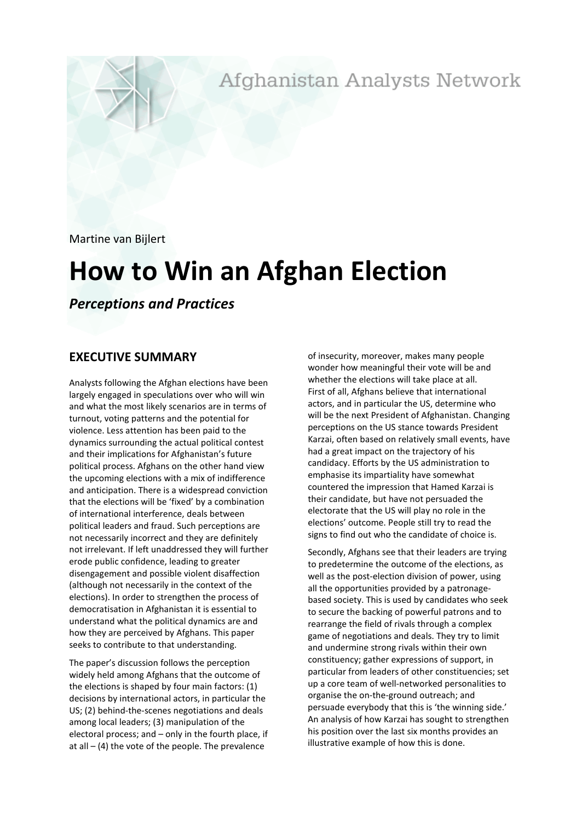Afghanistan Analysts Network

Martine van Bijlert

# **How to Win an Afghan Election**

*Perceptions and Practices*

# **EXECUTIVE SUMMARY**

Analysts following the Afghan elections have been largely engaged in speculations over who will win and what the most likely scenarios are in terms of turnout, voting patterns and the potential for violence. Less attention has been paid to the dynamics surrounding the actual political contest and their implications for Afghanistan's future political process. Afghans on the other hand view the upcoming elections with a mix of indifference and anticipation. There is a widespread conviction that the elections will be 'fixed' by a combination of international interference, deals between political leaders and fraud. Such perceptions are not necessarily incorrect and they are definitely not irrelevant. If left unaddressed they will further erode public confidence, leading to greater disengagement and possible violent disaffection (although not necessarily in the context of the elections). In order to strengthen the process of democratisation in Afghanistan it is essential to understand what the political dynamics are and how they are perceived by Afghans. This paper seeks to contribute to that understanding.

The paper's discussion follows the perception widely held among Afghans that the outcome of the elections is shaped by four main factors: (1) decisions by international actors, in particular the US; (2) behind-the-scenes negotiations and deals among local leaders; (3) manipulation of the electoral process; and – only in the fourth place, if at all  $-$  (4) the vote of the people. The prevalence

of insecurity, moreover, makes many people wonder how meaningful their vote will be and whether the elections will take place at all. First of all, Afghans believe that international actors, and in particular the US, determine who will be the next President of Afghanistan. Changing perceptions on the US stance towards President Karzai, often based on relatively small events, have had a great impact on the trajectory of his candidacy. Efforts by the US administration to emphasise its impartiality have somewhat countered the impression that Hamed Karzai is their candidate, but have not persuaded the electorate that the US will play no role in the elections' outcome. People still try to read the signs to find out who the candidate of choice is.

Secondly, Afghans see that their leaders are trying to predetermine the outcome of the elections, as well as the post-election division of power, using all the opportunities provided by a patronagebased society. This is used by candidates who seek to secure the backing of powerful patrons and to rearrange the field of rivals through a complex game of negotiations and deals. They try to limit and undermine strong rivals within their own constituency; gather expressions of support, in particular from leaders of other constituencies; set up a core team of well-networked personalities to organise the on-the-ground outreach; and persuade everybody that this is 'the winning side.' An analysis of how Karzai has sought to strengthen his position over the last six months provides an illustrative example of how this is done.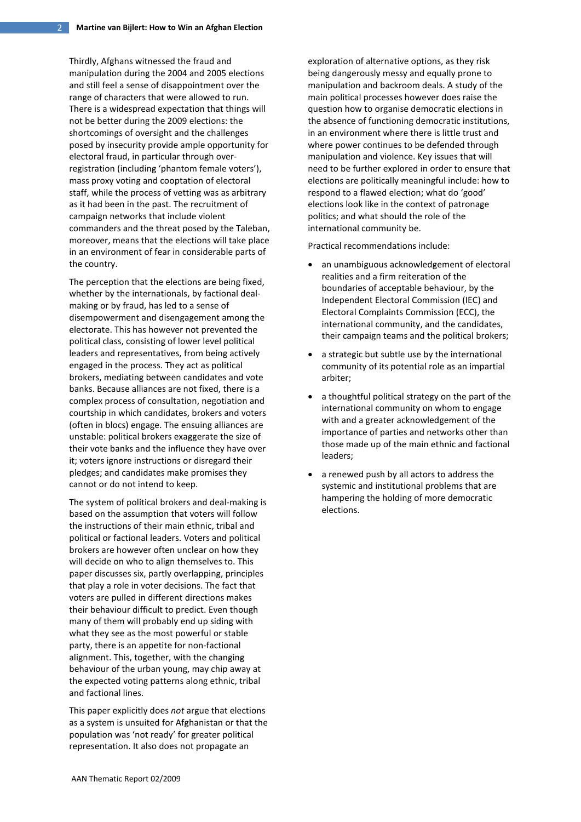Thirdly, Afghans witnessed the fraud and manipulation during the 2004 and 2005 elections and still feel a sense of disappointment over the range of characters that were allowed to run. There is a widespread expectation that things will not be better during the 2009 elections: the shortcomings of oversight and the challenges posed by insecurity provide ample opportunity for electoral fraud, in particular through overregistration (including 'phantom female voters'), mass proxy voting and cooptation of electoral staff, while the process of vetting was as arbitrary as it had been in the past. The recruitment of campaign networks that include violent commanders and the threat posed by the Taleban, moreover, means that the elections will take place in an environment of fear in considerable parts of the country.

The perception that the elections are being fixed, whether by the internationals, by factional dealmaking or by fraud, has led to a sense of disempowerment and disengagement among the electorate. This has however not prevented the political class, consisting of lower level political leaders and representatives, from being actively engaged in the process. They act as political brokers, mediating between candidates and vote banks. Because alliances are not fixed, there is a complex process of consultation, negotiation and courtship in which candidates, brokers and voters (often in blocs) engage. The ensuing alliances are unstable: political brokers exaggerate the size of their vote banks and the influence they have over it; voters ignore instructions or disregard their pledges; and candidates make promises they cannot or do not intend to keep.

The system of political brokers and deal-making is based on the assumption that voters will follow the instructions of their main ethnic, tribal and political or factional leaders. Voters and political brokers are however often unclear on how they will decide on who to align themselves to. This paper discusses six, partly overlapping, principles that play a role in voter decisions. The fact that voters are pulled in different directions makes their behaviour difficult to predict. Even though many of them will probably end up siding with what they see as the most powerful or stable party, there is an appetite for non-factional alignment. This, together, with the changing behaviour of the urban young, may chip away at the expected voting patterns along ethnic, tribal and factional lines.

This paper explicitly does *not* argue that elections as a system is unsuited for Afghanistan or that the population was 'not ready' for greater political representation. It also does not propagate an

exploration of alternative options, as they risk being dangerously messy and equally prone to manipulation and backroom deals. A study of the main political processes however does raise the question how to organise democratic elections in the absence of functioning democratic institutions, in an environment where there is little trust and where power continues to be defended through manipulation and violence. Key issues that will need to be further explored in order to ensure that elections are politically meaningful include: how to respond to a flawed election; what do 'good' elections look like in the context of patronage politics; and what should the role of the international community be.

Practical recommendations include:

- an unambiguous acknowledgement of electoral realities and a firm reiteration of the boundaries of acceptable behaviour, by the Independent Electoral Commission (IEC) and Electoral Complaints Commission (ECC), the international community, and the candidates, their campaign teams and the political brokers;
- a strategic but subtle use by the international community of its potential role as an impartial arbiter;
- a thoughtful political strategy on the part of the international community on whom to engage with and a greater acknowledgement of the importance of parties and networks other than those made up of the main ethnic and factional leaders;
- a renewed push by all actors to address the systemic and institutional problems that are hampering the holding of more democratic elections.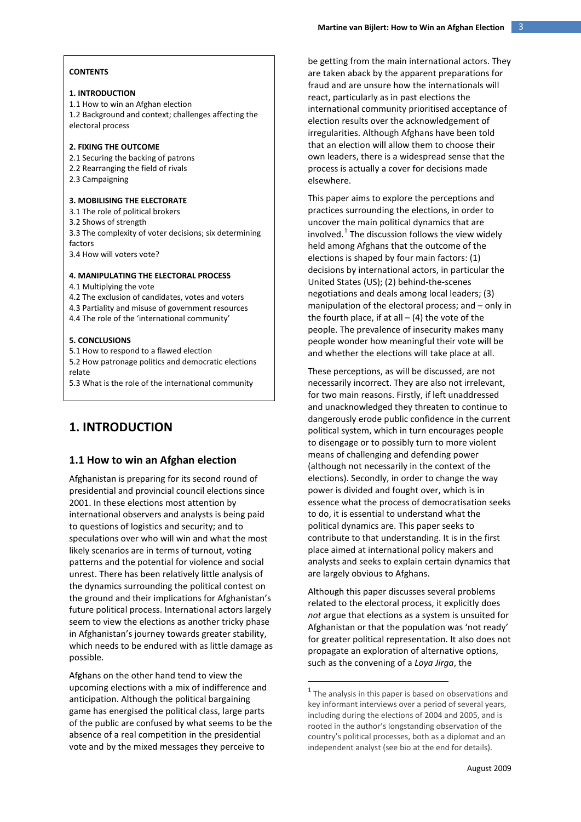#### **1. INTRODUCTION**

1.1 How to win an Afghan election 1.2 Background and context; challenges affecting the electoral process

#### **2. FIXING THE OUTCOME**

2.1 Securing the backing of patrons 2.2 Rearranging the field of rivals 2.3 Campaigning

#### **3. MOBILISING THE ELECTORATE**

3.1 The role of political brokers 3.2 Shows of strength 3.3 The complexity of voter decisions; six determining factors 3.4 How will voters vote?

#### **4. MANIPULATING THE ELECTORAL PROCESS**

4.1 Multiplying the vote 4.2 The exclusion of candidates, votes and voters 4.3 Partiality and misuse of government resources

4.4 The role of the 'international community'

#### **5. CONCLUSIONS**

5.1 How to respond to a flawed election 5.2 How patronage politics and democratic elections relate

5.3 What is the role of the international community

# **1. INTRODUCTION**

### **1.1 How to win an Afghan election**

Afghanistan is preparing for its second round of presidential and provincial council elections since 2001. In these elections most attention by international observers and analysts is being paid to questions of logistics and security; and to speculations over who will win and what the most likely scenarios are in terms of turnout, voting patterns and the potential for violence and social unrest. There has been relatively little analysis of the dynamics surrounding the political contest on the ground and their implications for Afghanistan's future political process. International actors largely seem to view the elections as another tricky phase in Afghanistan's journey towards greater stability, which needs to be endured with as little damage as possible.

<span id="page-2-0"></span>Afghans on the other hand tend to view the upcoming elections with a mix of indifference and anticipation. Although the political bargaining game has energised the political class, large parts of the public are confused by what seems to be the absence of a real competition in the presidential vote and by the mixed messages they perceive to

be getting from the main international actors. They are taken aback by the apparent preparations for fraud and are unsure how the internationals will react, particularly as in past elections the international community prioritised acceptance of election results over the acknowledgement of irregularities. Although Afghans have been told that an election will allow them to choose their own leaders, there is a widespread sense that the process is actually a cover for decisions made elsewhere.

This paper aims to explore the perceptions and practices surrounding the elections, in order to uncover the main political dynamics that are involved. [1](#page-2-0) The discussion follows the view widely held among Afghans that the outcome of the elections is shaped by four main factors: (1) decisions by international actors, in particular the United States (US); (2) behind-the-scenes negotiations and deals among local leaders; (3) manipulation of the electoral process; and – only in the fourth place, if at all  $-$  (4) the vote of the people. The prevalence of insecurity makes many people wonder how meaningful their vote will be and whether the elections will take place at all.

These perceptions, as will be discussed, are not necessarily incorrect. They are also not irrelevant, for two main reasons. Firstly, if left unaddressed and unacknowledged they threaten to continue to dangerously erode public confidence in the current political system, which in turn encourages people to disengage or to possibly turn to more violent means of challenging and defending power (although not necessarily in the context of the elections). Secondly, in order to change the way power is divided and fought over, which is in essence what the process of democratisation seeks to do, it is essential to understand what the political dynamics are. This paper seeks to contribute to that understanding. It is in the first place aimed at international policy makers and analysts and seeks to explain certain dynamics that are largely obvious to Afghans.

Although this paper discusses several problems related to the electoral process, it explicitly does *not* argue that elections as a system is unsuited for Afghanistan or that the population was 'not ready' for greater political representation. It also does not propagate an exploration of alternative options, such as the convening of a *Loya Jirga*, the

 $<sup>1</sup>$  The analysis in this paper is based on observations and</sup> key informant interviews over a period of several years, including during the elections of 2004 and 2005, and is rooted in the author's longstanding observation of the country's political processes, both as a diplomat and an independent analyst (see bio at the end for details).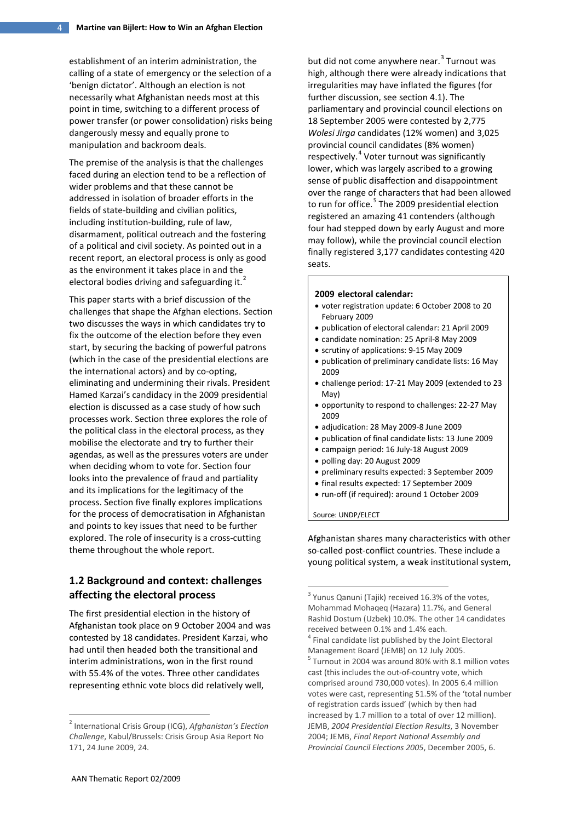establishment of an interim administration, the calling of a state of emergency or the selection of a 'benign dictator'. Although an election is not necessarily what Afghanistan needs most at this point in time, switching to a different process of power transfer (or power consolidation) risks being dangerously messy and equally prone to manipulation and backroom deals.

The premise of the analysis is that the challenges faced during an election tend to be a reflection of wider problems and that these cannot be addressed in isolation of broader efforts in the fields of state-building and civilian politics, including institution-building, rule of law, disarmament, political outreach and the fostering of a political and civil society. As pointed out in a recent report, an electoral process is only as good as the environment it takes place in and the electoral bodies driving and safeguarding it. $<sup>2</sup>$  $<sup>2</sup>$  $<sup>2</sup>$ </sup>

This paper starts with a brief discussion of the challenges that shape the Afghan elections. Section two discusses the ways in which candidates try to fix the outcome of the election before they even start, by securing the backing of powerful patrons (which in the case of the presidential elections are the international actors) and by co-opting, eliminating and undermining their rivals. President Hamed Karzai's candidacy in the 2009 presidential election is discussed as a case study of how such processes work. Section three explores the role of the political class in the electoral process, as they mobilise the electorate and try to further their agendas, as well as the pressures voters are under when deciding whom to vote for. Section four looks into the prevalence of fraud and partiality and its implications for the legitimacy of the process. Section five finally explores implications for the process of democratisation in Afghanistan and points to key issues that need to be further explored. The role of insecurity is a cross-cutting theme throughout the whole report.

# **1.2 Background and context: challenges affecting the electoral process**

<span id="page-3-3"></span><span id="page-3-2"></span><span id="page-3-1"></span>The first presidential election in the history of Afghanistan took place on 9 October 2004 and was contested by 18 candidates. President Karzai, who had until then headed both the transitional and interim administrations, won in the first round with 55.4% of the votes. Three other candidates representing ethnic vote blocs did relatively well,

but did not come anywhere near.<sup>[3](#page-3-1)</sup> Turnout was high, although there were already indications that irregularities may have inflated the figures (for further discussion, see section 4.1). The parliamentary and provincial council elections on 18 September 2005 were contested by 2,775 *Wolesi Jirga* candidates (12% women) and 3,025 provincial council candidates (8% women) respectively.<sup>[4](#page-3-2)</sup> Voter turnout was significantly lower, which was largely ascribed to a growing sense of public disaffection and disappointment over the range of characters that had been allowed to run for office.<sup>[5](#page-3-3)</sup> The 2009 presidential election registered an amazing 41 contenders (although four had stepped down by early August and more may follow), while the provincial council election finally registered 3,177 candidates contesting 420 seats.

#### **2009 electoral calendar:**

- voter registration update: 6 October 2008 to 20 February 2009
- publication of electoral calendar: 21 April 2009
- candidate nomination: 25 April-8 May 2009
- scrutiny of applications: 9-15 May 2009
- publication of preliminary candidate lists: 16 May 2009
- challenge period: 17-21 May 2009 (extended to 23 May)
- opportunity to respond to challenges: 22-27 May 2009
- adjudication: 28 May 2009-8 June 2009
- publication of final candidate lists: 13 June 2009
- campaign period: 16 July-18 August 2009
- polling day: 20 August 2009
- preliminary results expected: 3 September 2009
- final results expected: 17 September 2009
- run-off (if required): around 1 October 2009

Source: UNDP/ELECT

Afghanistan shares many characteristics with other so-called post-conflict countries. These include a young political system, a weak institutional system,

<span id="page-3-0"></span><sup>2</sup> International Crisis Group (ICG), *Afghanistan's Election Challenge*, Kabul/Brussels: Crisis Group Asia Report No 171, 24 June 2009, 24.

<sup>&</sup>lt;sup>3</sup> Yunus Qanuni (Tajik) received 16.3% of the votes, Mohammad Mohaqeq (Hazara) 11.7%, and General Rashid Dostum (Uzbek) 10.0%. The other 14 candidates received between 0.1% and 1.4% each. <sup>4</sup> Final candidate list published by the Joint Electoral Management Board (JEMB) on 12 July 2005.<br><sup>5</sup> Turnout in 2004 was around 80% with 8.1 million votes cast (this includes the out-of-country vote, which comprised around 730,000 votes). In 2005 6.4 million votes were cast, representing 51.5% of the 'total number of registration cards issued' (which by then had increased by 1.7 million to a total of over 12 million). JEMB, *2004 Presidential Election Results*, 3 November 2004; JEMB, *Final Report National Assembly and* 

*Provincial Council Elections 2005*, December 2005, 6.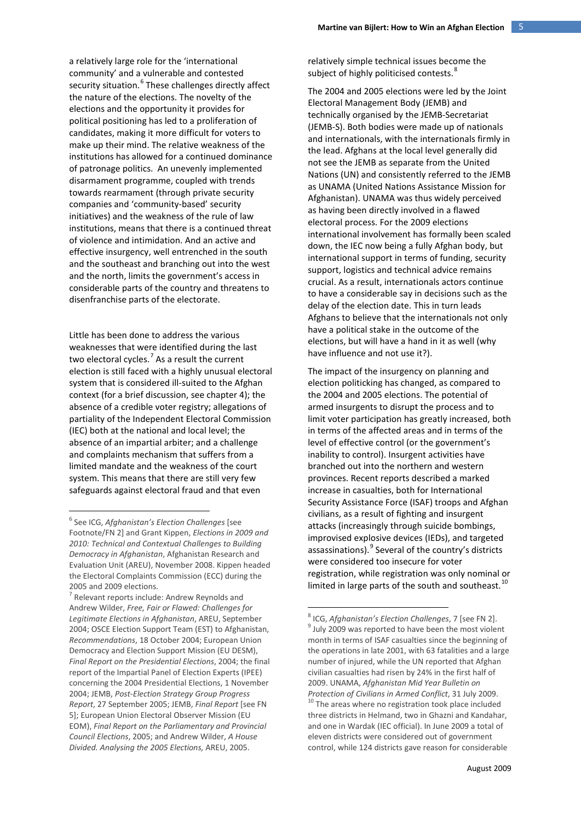a relatively large role for the 'international community' and a vulnerable and contested security situation.<sup>[6](#page-4-0)</sup> These challenges directly affect the nature of the elections. The novelty of the elections and the opportunity it provides for political positioning has led to a proliferation of candidates, making it more difficult for voters to make up their mind. The relative weakness of the institutions has allowed for a continued dominance of patronage politics. An unevenly implemented disarmament programme, coupled with trends towards rearmament (through private security companies and 'community-based' security initiatives) and the weakness of the rule of law institutions, means that there is a continued threat of violence and intimidation. And an active and effective insurgency, well entrenched in the south and the southeast and branching out into the west and the north, limits the government's access in considerable parts of the country and threatens to disenfranchise parts of the electorate.

Little has been done to address the various weaknesses that were identified during the last two electoral cycles.<sup>[7](#page-4-1)</sup> As a result the current election is still faced with a highly unusual electoral system that is considered ill-suited to the Afghan context (for a brief discussion, see chapter 4); the absence of a credible voter registry; allegations of partiality of the Independent Electoral Commission (IEC) both at the national and local level; the absence of an impartial arbiter; and a challenge and complaints mechanism that suffers from a limited mandate and the weakness of the court system. This means that there are still very few safeguards against electoral fraud and that even

relatively simple technical issues become the subject of highly politicised contests.<sup>[8](#page-4-2)</sup>

The 2004 and 2005 elections were led by the Joint Electoral Management Body (JEMB) and technically organised by the JEMB-Secretariat (JEMB-S). Both bodies were made up of nationals and internationals, with the internationals firmly in the lead. Afghans at the local level generally did not see the JEMB as separate from the United Nations (UN) and consistently referred to the JEMB as UNAMA (United Nations Assistance Mission for Afghanistan). UNAMA was thus widely perceived as having been directly involved in a flawed electoral process. For the 2009 elections international involvement has formally been scaled down, the IEC now being a fully Afghan body, but international support in terms of funding, security support, logistics and technical advice remains crucial. As a result, internationals actors continue to have a considerable say in decisions such as the delay of the election date. This in turn leads Afghans to believe that the internationals not only have a political stake in the outcome of the elections, but will have a hand in it as well (why have influence and not use it?).

The impact of the insurgency on planning and election politicking has changed, as compared to the 2004 and 2005 elections. The potential of armed insurgents to disrupt the process and to limit voter participation has greatly increased, both in terms of the affected areas and in terms of the level of effective control (or the government's inability to control). Insurgent activities have branched out into the northern and western provinces. Recent reports described a marked increase in casualties, both for International Security Assistance Force (ISAF) troops and Afghan civilians, as a result of fighting and insurgent attacks (increasingly through suicide bombings, improvised explosive devices (IEDs), and targeted assassinations).<sup>[9](#page-4-3)</sup> Several of the country's districts were considered too insecure for voter registration, while registration was only nominal or limited in large parts of the south and southeast.<sup>[10](#page-4-4)</sup>

<span id="page-4-0"></span><sup>6</sup> See ICG, *Afghanistan's Election Challenges* [see Footnote/FN 2] and Grant Kippen, *Elections in 2009 and 2010: Technical and Contextual Challenges to Building Democracy in Afghanistan*, Afghanistan Research and Evaluation Unit (AREU), November 2008. Kippen headed the Electoral Complaints Commission (ECC) during the 2005 and 2009 elections.

<span id="page-4-4"></span><span id="page-4-3"></span><span id="page-4-2"></span><span id="page-4-1"></span><sup>&</sup>lt;sup>7</sup> Relevant reports include: Andrew Reynolds and Andrew Wilder, *Free, Fair or Flawed: Challenges for Legitimate Elections in Afghanistan*, AREU, September 2004; OSCE Election Support Team (EST) to Afghanistan, *Recommendations*, 18 October 2004; European Union Democracy and Election Support Mission (EU DESM), *Final Report on the Presidential Elections*, 2004; the final report of the Impartial Panel of Election Experts (IPEE) concerning the 2004 Presidential Elections, 1 November 2004; JEMB, *Post-Election Strategy Group Progress Report*, 27 September 2005; JEMB, *Final Report* [see FN 5]; European Union Electoral Observer Mission (EU EOM), *Final Report on the Parliamentary and Provincial Council Elections*, 2005; and Andrew Wilder, *A House Divided. Analysing the 2005 Elections,* AREU, 2005.

<sup>&</sup>lt;sup>8</sup> ICG, *Afghanistan's Election Challenges*, 7 [see FN 2].<br><sup>9</sup> July 2009 was reported to have been the most violent month in terms of ISAF casualties since the beginning of the operations in late 2001, with 63 fatalities and a large number of injured, while the UN reported that Afghan civilian casualties had risen by 24% in the first half of 2009. UNAMA, *Afghanistan Mid Year Bulletin on Protection of Civilians in Armed Conflict*, 31 July 2009.<br><sup>10</sup> The areas where no registration took place included three districts in Helmand, two in Ghazni and Kandahar, and one in Wardak (IEC official). In June 2009 a total of eleven districts were considered out of government control, while 124 districts gave reason for considerable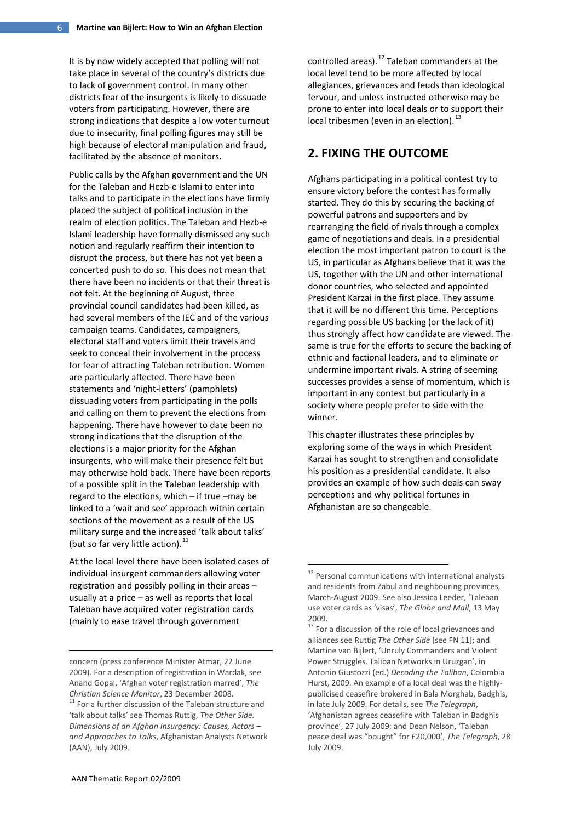It is by now widely accepted that polling will not take place in several of the country's districts due to lack of government control. In many other districts fear of the insurgents is likely to dissuade voters from participating. However, there are strong indications that despite a low voter turnout due to insecurity, final polling figures may still be high because of electoral manipulation and fraud, facilitated by the absence of monitors.

Public calls by the Afghan government and the UN for the Taleban and Hezb-e Islami to enter into talks and to participate in the elections have firmly placed the subject of political inclusion in the realm of election politics. The Taleban and Hezb-e Islami leadership have formally dismissed any such notion and regularly reaffirm their intention to disrupt the process, but there has not yet been a concerted push to do so. This does not mean that there have been no incidents or that their threat is not felt. At the beginning of August, three provincial council candidates had been killed, as had several members of the IEC and of the various campaign teams. Candidates, campaigners, electoral staff and voters limit their travels and seek to conceal their involvement in the process for fear of attracting Taleban retribution. Women are particularly affected. There have been statements and 'night-letters' (pamphlets) dissuading voters from participating in the polls and calling on them to prevent the elections from happening. There have however to date been no strong indications that the disruption of the elections is a major priority for the Afghan insurgents, who will make their presence felt but may otherwise hold back. There have been reports of a possible split in the Taleban leadership with regard to the elections, which – if true –may be linked to a 'wait and see' approach within certain sections of the movement as a result of the US military surge and the increased 'talk about talks' (but so far very little action). $^{11}$  $^{11}$  $^{11}$ 

<span id="page-5-1"></span>At the local level there have been isolated cases of individual insurgent commanders allowing voter registration and possibly polling in their areas – usually at a price – as well as reports that local Taleban have acquired voter registration cards (mainly to ease travel through government

controlled areas).<sup>[12](#page-5-1)</sup> Taleban commanders at the local level tend to be more affected by local allegiances, grievances and feuds than ideological fervour, and unless instructed otherwise may be prone to enter into local deals or to support their local tribesmen (even in an election).<sup>[13](#page-5-2)</sup>

# **2. FIXING THE OUTCOME**

Afghans participating in a political contest try to ensure victory before the contest has formally started. They do this by securing the backing of powerful patrons and supporters and by rearranging the field of rivals through a complex game of negotiations and deals. In a presidential election the most important patron to court is the US, in particular as Afghans believe that it was the US, together with the UN and other international donor countries, who selected and appointed President Karzai in the first place. They assume that it will be no different this time. Perceptions regarding possible US backing (or the lack of it) thus strongly affect how candidate are viewed. The same is true for the efforts to secure the backing of ethnic and factional leaders, and to eliminate or undermine important rivals. A string of seeming successes provides a sense of momentum, which is important in any contest but particularly in a society where people prefer to side with the winner.

This chapter illustrates these principles by exploring some of the ways in which President Karzai has sought to strengthen and consolidate his position as a presidential candidate. It also provides an example of how such deals can sway perceptions and why political fortunes in Afghanistan are so changeable.

<span id="page-5-2"></span>-

<span id="page-5-0"></span>concern (press conference Minister Atmar, 22 June 2009). For a description of registration in Wardak, see Anand Gopal, 'Afghan voter registration marred', *The Christian Science Monitor*, 23 December 2008.<br><sup>11</sup> For a further discussion of the Taleban structure and 'talk about talks' see Thomas Ruttig, *The Other Side. Dimensions of an Afghan Insurgency: Causes, Actors – and Approaches to Talks*, Afghanistan Analysts Network (AAN), July 2009.

<sup>&</sup>lt;sup>12</sup> Personal communications with international analysts and residents from Zabul and neighbouring provinces, March-August 2009. See also Jessica Leeder, 'Taleban use voter cards as 'visas', *The Globe and Mail*, 13 May 2009.

 $13$  For a discussion of the role of local grievances and alliances see Ruttig *The Other Side* [see FN 11]; and Martine van Bijlert, 'Unruly Commanders and Violent Power Struggles. Taliban Networks in Uruzgan', in Antonio Giustozzi (ed.) *Decoding the Taliban*, Colombia Hurst, 2009. An example of a local deal was the highlypublicised ceasefire brokered in Bala Morghab, Badghis, in late July 2009. For details, see *The Telegraph*, 'Afghanistan agrees ceasefire with Taleban in Badghis province', 27 July 2009; and Dean Nelson, 'Taleban peace deal was "bought" for £20,000', *The Telegraph*, 28 July 2009.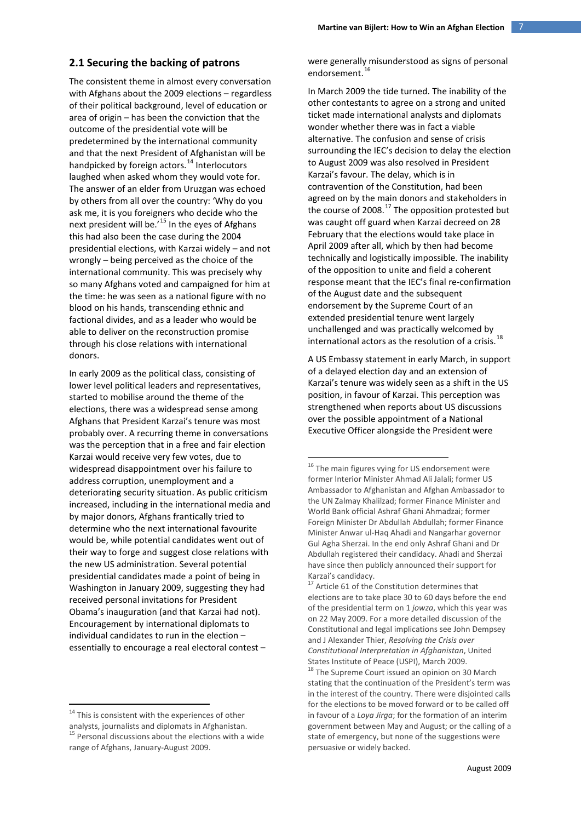#### **2.1 Securing the backing of patrons**

The consistent theme in almost every conversation with Afghans about the 2009 elections – regardless of their political background, level of education or area of origin – has been the conviction that the outcome of the presidential vote will be predetermined by the international community and that the next President of Afghanistan will be handpicked by foreign actors.<sup>[14](#page-6-0)</sup> Interlocutors laughed when asked whom they would vote for. The answer of an elder from Uruzgan was echoed by others from all over the country: 'Why do you ask me, it is you foreigners who decide who the next president will be.<sup>'[15](#page-6-1)</sup> In the eyes of Afghans this had also been the case during the 2004 presidential elections, with Karzai widely – and not wrongly – being perceived as the choice of the international community. This was precisely why so many Afghans voted and campaigned for him at the time: he was seen as a national figure with no blood on his hands, transcending ethnic and factional divides, and as a leader who would be able to deliver on the reconstruction promise through his close relations with international donors.

<span id="page-6-2"></span>In early 2009 as the political class, consisting of lower level political leaders and representatives, started to mobilise around the theme of the elections, there was a widespread sense among Afghans that President Karzai's tenure was most probably over. A recurring theme in conversations was the perception that in a free and fair election Karzai would receive very few votes, due to widespread disappointment over his failure to address corruption, unemployment and a deteriorating security situation. As public criticism increased, including in the international media and by major donors, Afghans frantically tried to determine who the next international favourite would be, while potential candidates went out of their way to forge and suggest close relations with the new US administration. Several potential presidential candidates made a point of being in Washington in January 2009, suggesting they had received personal invitations for President Obama's inauguration (and that Karzai had not). Encouragement by international diplomats to individual candidates to run in the election – essentially to encourage a real electoral contest –

were generally misunderstood as signs of personal endorsement.<sup>[16](#page-6-2)</sup>

In March 2009 the tide turned. The inability of the other contestants to agree on a strong and united ticket made international analysts and diplomats wonder whether there was in fact a viable alternative. The confusion and sense of crisis surrounding the IEC's decision to delay the election to August 2009 was also resolved in President Karzai's favour. The delay, which is in contravention of the Constitution, had been agreed on by the main donors and stakeholders in the course of 2008. [17](#page-6-3) The opposition protested but was caught off guard when Karzai decreed on 28 February that the elections would take place in April 2009 after all, which by then had become technically and logistically impossible. The inability of the opposition to unite and field a coherent response meant that the IEC's final re-confirmation of the August date and the subsequent endorsement by the Supreme Court of an extended presidential tenure went largely unchallenged and was practically welcomed by international actors as the resolution of a crisis.<sup>[18](#page-6-4)</sup>

A US Embassy statement in early March, in support of a delayed election day and an extension of Karzai's tenure was widely seen as a shift in the US position, in favour of Karzai. This perception was strengthened when reports about US discussions over the possible appointment of a National Executive Officer alongside the President were

<span id="page-6-4"></span><span id="page-6-3"></span><span id="page-6-1"></span><span id="page-6-0"></span><sup>&</sup>lt;sup>14</sup> This is consistent with the experiences of other analysts, journalists and diplomats in Afghanistan. <sup>15</sup> Personal discussions about the elections with a wide range of Afghans, January-August 2009.

<sup>&</sup>lt;sup>16</sup> The main figures vying for US endorsement were former Interior Minister Ahmad Ali Jalali; former US Ambassador to Afghanistan and Afghan Ambassador to the UN Zalmay Khalilzad; former Finance Minister and World Bank official Ashraf Ghani Ahmadzai; former Foreign Minister Dr Abdullah Abdullah; former Finance Minister Anwar ul-Haq Ahadi and Nangarhar governor Gul Agha Sherzai. In the end only Ashraf Ghani and Dr Abdullah registered their candidacy. Ahadi and Sherzai have since then publicly announced their support for Karzai's candidacy.

<sup>&</sup>lt;sup>17</sup> Article 61 of the Constitution determines that elections are to take place 30 to 60 days before the end of the presidential term on 1 *jowza*, which this year was on 22 May 2009. For a more detailed discussion of the Constitutional and legal implications see John Dempsey and J Alexander Thier, *Resolving the Crisis over Constitutional Interpretation in Afghanistan*, United States Institute of Peace (USPI), March 2009.

<sup>&</sup>lt;sup>18</sup> The Supreme Court issued an opinion on 30 March stating that the continuation of the President's term was in the interest of the country. There were disjointed calls for the elections to be moved forward or to be called off in favour of a *Loya Jirga*; for the formation of an interim government between May and August; or the calling of a state of emergency, but none of the suggestions were persuasive or widely backed.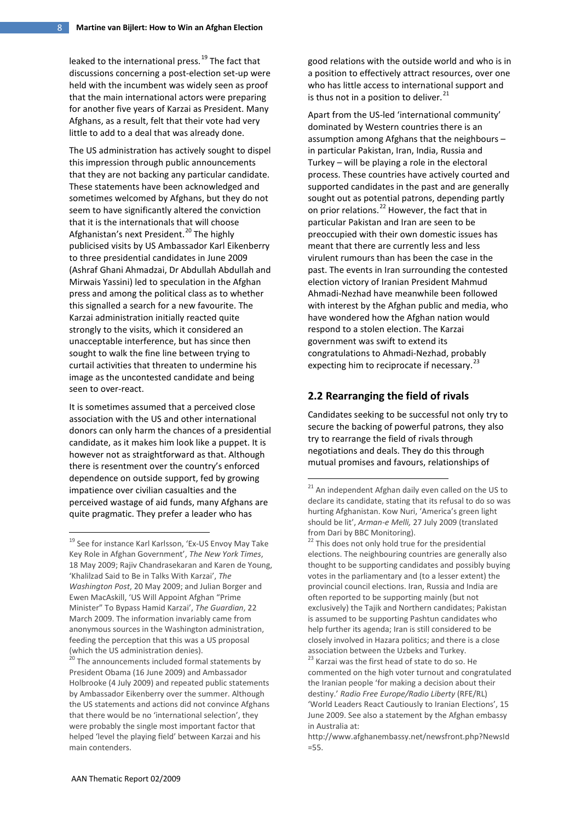leaked to the international press.<sup>[19](#page-7-0)</sup> The fact that discussions concerning a post-election set-up were held with the incumbent was widely seen as proof that the main international actors were preparing for another five years of Karzai as President. Many Afghans, as a result, felt that their vote had very little to add to a deal that was already done.

The US administration has actively sought to dispel this impression through public announcements that they are not backing any particular candidate. These statements have been acknowledged and sometimes welcomed by Afghans, but they do not seem to have significantly altered the conviction that it is the internationals that will choose Afghanistan's next President.<sup>[20](#page-7-1)</sup> The highly publicised visits by US Ambassador Karl Eikenberry to three presidential candidates in June 2009 (Ashraf Ghani Ahmadzai, Dr Abdullah Abdullah and Mirwais Yassini) led to speculation in the Afghan press and among the political class as to whether this signalled a search for a new favourite. The Karzai administration initially reacted quite strongly to the visits, which it considered an unacceptable interference, but has since then sought to walk the fine line between trying to curtail activities that threaten to undermine his image as the uncontested candidate and being seen to over-react.

It is sometimes assumed that a perceived close association with the US and other international donors can only harm the chances of a presidential candidate, as it makes him look like a puppet. It is however not as straightforward as that. Although there is resentment over the country's enforced dependence on outside support, fed by growing impatience over civilian casualties and the perceived wastage of aid funds, many Afghans are quite pragmatic. They prefer a leader who has

good relations with the outside world and who is in a position to effectively attract resources, over one who has little access to international support and is thus not in a position to deliver. $^{21}$  $^{21}$  $^{21}$ 

Apart from the US-led 'international community' dominated by Western countries there is an assumption among Afghans that the neighbours – in particular Pakistan, Iran, India, Russia and Turkey – will be playing a role in the electoral process. These countries have actively courted and supported candidates in the past and are generally sought out as potential patrons, depending partly on prior relations.<sup>[22](#page-7-0)</sup> However, the fact that in particular Pakistan and Iran are seen to be preoccupied with their own domestic issues has meant that there are currently less and less virulent rumours than has been the case in the past. The events in Iran surrounding the contested election victory of Iranian President Mahmud Ahmadi-Nezhad have meanwhile been followed with interest by the Afghan public and media, who have wondered how the Afghan nation would respond to a stolen election. The Karzai government was swift to extend its congratulations to Ahmadi-Nezhad, probably expecting him to reciprocate if necessary. $^{23}$  $^{23}$  $^{23}$ 

## **2.2 Rearranging the field of rivals**

Candidates seeking to be successful not only try to secure the backing of powerful patrons, they also try to rearrange the field of rivals through negotiations and deals. They do this through mutual promises and favours, relationships of

<span id="page-7-2"></span><span id="page-7-0"></span><sup>19</sup> See for instance Karl Karlsson, 'Ex-US Envoy May Take Key Role in Afghan Government', *The New York Times*, 18 May 2009; Rajiv Chandrasekaran and Karen de Young, 'Khalilzad Said to Be in Talks With Karzai', *The Washington Post*, 20 May 2009; and Julian Borger and Ewen MacAskill, 'US Will Appoint Afghan "Prime Minister" To Bypass Hamid Karzai', *The Guardian*, 22 March 2009. The information invariably came from anonymous sources in the Washington administration, feeding the perception that this was a US proposal (which the US administration denies).

<span id="page-7-1"></span><sup>&</sup>lt;sup>20</sup> The announcements included formal statements by President Obama (16 June 2009) and Ambassador Holbrooke (4 July 2009) and repeated public statements by Ambassador Eikenberry over the summer. Although the US statements and actions did not convince Afghans that there would be no 'international selection', they were probably the single most important factor that helped 'level the playing field' between Karzai and his main contenders.

<sup>&</sup>lt;sup>21</sup> An independent Afghan daily even called on the US to declare its candidate, stating that its refusal to do so was hurting Afghanistan. Kow Nuri, 'America's green light should be lit', *Arman-e Melli,* 27 July 2009 (translated from Dari by BBC Monitoring).

<sup>&</sup>lt;sup>22</sup> This does not only hold true for the presidential elections. The neighbouring countries are generally also thought to be supporting candidates and possibly buying votes in the parliamentary and (to a lesser extent) the provincial council elections. Iran, Russia and India are often reported to be supporting mainly (but not exclusively) the Tajik and Northern candidates; Pakistan is assumed to be supporting Pashtun candidates who help further its agenda; Iran is still considered to be closely involved in Hazara politics; and there is a close association between the Uzbeks and Turkey.

<sup>&</sup>lt;sup>23</sup> Karzai was the first head of state to do so. He commented on the high voter turnout and congratulated the Iranian people 'for making a decision about their destiny.' *Radio Free Europe/Radio Liberty* (RFE/RL) 'World Leaders React Cautiously to Iranian Elections', 15 June 2009. See also a statement by the Afghan embassy in Australia at:

[http://www.afghanembassy.net/newsfront.php?NewsId](http://www.afghanembassy.net/newsfront.php?NewsId=55) [=55.](http://www.afghanembassy.net/newsfront.php?NewsId=55)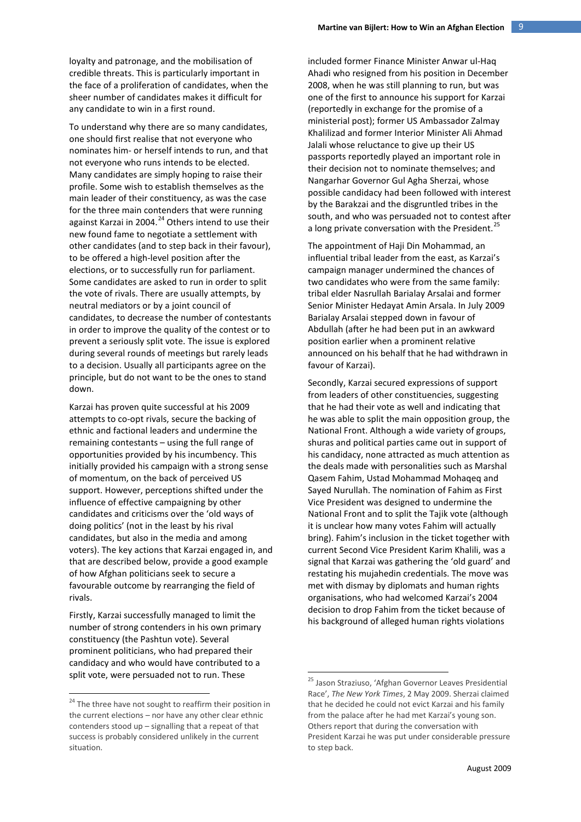loyalty and patronage, and the mobilisation of credible threats. This is particularly important in the face of a proliferation of candidates, when the sheer number of candidates makes it difficult for any candidate to win in a first round.

To understand why there are so many candidates, one should first realise that not everyone who nominates him- or herself intends to run, and that not everyone who runs intends to be elected. Many candidates are simply hoping to raise their profile. Some wish to establish themselves as the main leader of their constituency, as was the case for the three main contenders that were running against Karzai in 2004.<sup>[24](#page-8-0)</sup> Others intend to use their new found fame to negotiate a settlement with other candidates (and to step back in their favour), to be offered a high-level position after the elections, or to successfully run for parliament. Some candidates are asked to run in order to split the vote of rivals. There are usually attempts, by neutral mediators or by a joint council of candidates, to decrease the number of contestants in order to improve the quality of the contest or to prevent a seriously split vote. The issue is explored during several rounds of meetings but rarely leads to a decision. Usually all participants agree on the principle, but do not want to be the ones to stand down.

Karzai has proven quite successful at his 2009 attempts to co-opt rivals, secure the backing of ethnic and factional leaders and undermine the remaining contestants – using the full range of opportunities provided by his incumbency. This initially provided his campaign with a strong sense of momentum, on the back of perceived US support. However, perceptions shifted under the influence of effective campaigning by other candidates and criticisms over the 'old ways of doing politics' (not in the least by his rival candidates, but also in the media and among voters). The key actions that Karzai engaged in, and that are described below, provide a good example of how Afghan politicians seek to secure a favourable outcome by rearranging the field of rivals.

Firstly, Karzai successfully managed to limit the number of strong contenders in his own primary constituency (the Pashtun vote). Several prominent politicians, who had prepared their candidacy and who would have contributed to a split vote, were persuaded not to run. These

included former Finance Minister Anwar ul-Haq Ahadi who resigned from his position in December 2008, when he was still planning to run, but was one of the first to announce his support for Karzai (reportedly in exchange for the promise of a ministerial post); former US Ambassador Zalmay Khalilizad and former Interior Minister Ali Ahmad Jalali whose reluctance to give up their US passports reportedly played an important role in their decision not to nominate themselves; and Nangarhar Governor Gul Agha Sherzai, whose possible candidacy had been followed with interest by the Barakzai and the disgruntled tribes in the south, and who was persuaded not to contest after a long private conversation with the President.<sup>[25](#page-8-1)</sup>

The appointment of Haji Din Mohammad, an influential tribal leader from the east, as Karzai's campaign manager undermined the chances of two candidates who were from the same family: tribal elder Nasrullah Barialay Arsalai and former Senior Minister Hedayat Amin Arsala. In July 2009 Barialay Arsalai stepped down in favour of Abdullah (after he had been put in an awkward position earlier when a prominent relative announced on his behalf that he had withdrawn in favour of Karzai).

Secondly, Karzai secured expressions of support from leaders of other constituencies, suggesting that he had their vote as well and indicating that he was able to split the main opposition group, the National Front. Although a wide variety of groups, shuras and political parties came out in support of his candidacy, none attracted as much attention as the deals made with personalities such as Marshal Qasem Fahim, Ustad Mohammad Mohaqeq and Sayed Nurullah. The nomination of Fahim as First Vice President was designed to undermine the National Front and to split the Tajik vote (although it is unclear how many votes Fahim will actually bring). Fahim's inclusion in the ticket together with current Second Vice President Karim Khalili, was a signal that Karzai was gathering the 'old guard' and restating his mujahedin credentials. The move was met with dismay by diplomats and human rights organisations, who had welcomed Karzai's 2004 decision to drop Fahim from the ticket because of his background of alleged human rights violations

<span id="page-8-1"></span><span id="page-8-0"></span> $24$  The three have not sought to reaffirm their position in the current elections – nor have any other clear ethnic contenders stood up – signalling that a repeat of that success is probably considered unlikely in the current situation.

<sup>&</sup>lt;sup>25</sup> Jason Straziuso, 'Afghan Governor Leaves Presidential Race', *The New York Times*, 2 May 2009. Sherzai claimed that he decided he could not evict Karzai and his family from the palace after he had met Karzai's young son. Others report that during the conversation with President Karzai he was put under considerable pressure to step back.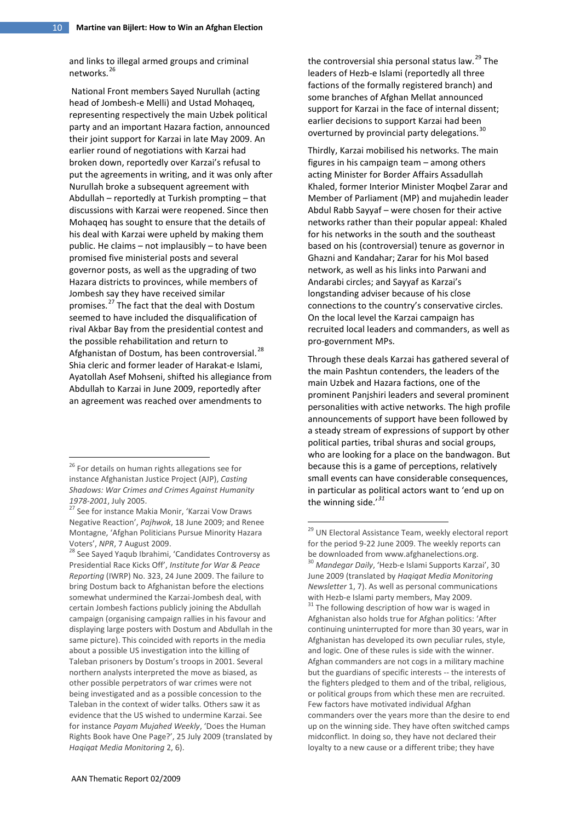and links to illegal armed groups and criminal networks.<sup>[26](#page-9-0)</sup>

National Front members Sayed Nurullah (acting head of Jombesh-e Melli) and Ustad Mohaqeq, representing respectively the main Uzbek political party and an important Hazara faction, announced their joint support for Karzai in late May 2009. An earlier round of negotiations with Karzai had broken down, reportedly over Karzai's refusal to put the agreements in writing, and it was only after Nurullah broke a subsequent agreement with Abdullah – reportedly at Turkish prompting – that discussions with Karzai were reopened. Since then Mohaqeq has sought to ensure that the details of his deal with Karzai were upheld by making them public. He claims – not implausibly – to have been promised five ministerial posts and several governor posts, as well as the upgrading of two Hazara districts to provinces, while members of Jombesh say they have received similar promises.[27](#page-9-1) The fact that the deal with Dostum seemed to have included the disqualification of rival Akbar Bay from the presidential contest and the possible rehabilitation and return to Afghanistan of Dostum, has been controversial.<sup>[28](#page-9-2)</sup> Shia cleric and former leader of Harakat-e Islami, Ayatollah Asef Mohseni, shifted his allegiance from Abdullah to Karzai in June 2009, reportedly after an agreement was reached over amendments to

the controversial shia personal status law.<sup>[29](#page-9-3)</sup> The leaders of Hezb-e Islami (reportedly all three factions of the formally registered branch) and some branches of Afghan Mellat announced support for Karzai in the face of internal dissent; earlier decisions to support Karzai had been overturned by provincial party delegations.<sup>[30](#page-9-4)</sup>

Thirdly, Karzai mobilised his networks. The main figures in his campaign team – among others acting Minister for Border Affairs Assadullah Khaled, former Interior Minister Moqbel Zarar and Member of Parliament (MP) and mujahedin leader Abdul Rabb Sayyaf – were chosen for their active networks rather than their popular appeal: Khaled for his networks in the south and the southeast based on his (controversial) tenure as governor in Ghazni and Kandahar; Zarar for his MoI based network, as well as his links into Parwani and Andarabi circles; and Sayyaf as Karzai's longstanding adviser because of his close connections to the country's conservative circles. On the local level the Karzai campaign has recruited local leaders and commanders, as well as pro-government MPs.

Through these deals Karzai has gathered several of the main Pashtun contenders, the leaders of the main Uzbek and Hazara factions, one of the prominent Panjshiri leaders and several prominent personalities with active networks. The high profile announcements of support have been followed by a steady stream of expressions of support by other political parties, tribal shuras and social groups, who are looking for a place on the bandwagon. But because this is a game of perceptions, relatively small events can have considerable consequences, in particular as political actors want to 'end up on the winning side.'*[31](#page-9-5)*

<span id="page-9-0"></span><sup>&</sup>lt;sup>26</sup> For details on human rights allegations see for instance Afghanistan Justice Project (AJP), *Casting Shadows: War Crimes and Crimes Against Humanity 1978-2001*, July 2005.

<span id="page-9-1"></span><sup>&</sup>lt;sup>27</sup> See for instance Makia Monir, 'Karzai Vow Draws Negative Reaction', *Pajhwok*, 18 June 2009; and Renee Montagne, 'Afghan Politicians Pursue Minority Hazara

<span id="page-9-5"></span><span id="page-9-4"></span><span id="page-9-3"></span><span id="page-9-2"></span>Voters', *NPR*, 7 August 2009.<br><sup>28</sup> See Sayed Yaqub Ibrahimi, 'Candidates Controversy as Presidential Race Kicks Off', *Institute for War & Peace Reporting* (IWRP) No. 323, 24 June 2009. The failure to bring Dostum back to Afghanistan before the elections somewhat undermined the Karzai-Jombesh deal, with certain Jombesh factions publicly joining the Abdullah campaign (organising campaign rallies in his favour and displaying large posters with Dostum and Abdullah in the same picture). This coincided with reports in the media about a possible US investigation into the killing of Taleban prisoners by Dostum's troops in 2001. Several northern analysts interpreted the move as biased, as other possible perpetrators of war crimes were not being investigated and as a possible concession to the Taleban in the context of wider talks. Others saw it as evidence that the US wished to undermine Karzai. See for instance *Payam Mujahed Weekly*, 'Does the Human Rights Book have One Page?', 25 July 2009 (translated by *Haqiqat Media Monitoring* 2, 6).

<sup>&</sup>lt;sup>29</sup> UN Electoral Assistance Team, weekly electoral report for the period 9-22 June 2009. The weekly reports can be downloaded fro[m www.afghanelections.org.](http://www.afghanelections.org/)<br><sup>30</sup> *Mandegar Daily*, 'Hezb-e Islami Supports Karzai', 30

June 2009 (translated by *Haqiqat Media Monitoring Newsletter* 1, 7). As well as personal communications with Hezb-e Islami party members, May 2009.<br> $31$  The following description of how war is waged in

Afghanistan also holds true for Afghan politics: 'After continuing uninterrupted for more than 30 years, war in Afghanistan has developed its own peculiar rules, style, and logic. One of these rules is side with the winner. Afghan commanders are not cogs in a military machine but the guardians of specific interests -- the interests of the fighters pledged to them and of the tribal, religious, or political groups from which these men are recruited. Few factors have motivated individual Afghan commanders over the years more than the desire to end up on the winning side. They have often switched camps midconflict. In doing so, they have not declared their loyalty to a new cause or a different tribe; they have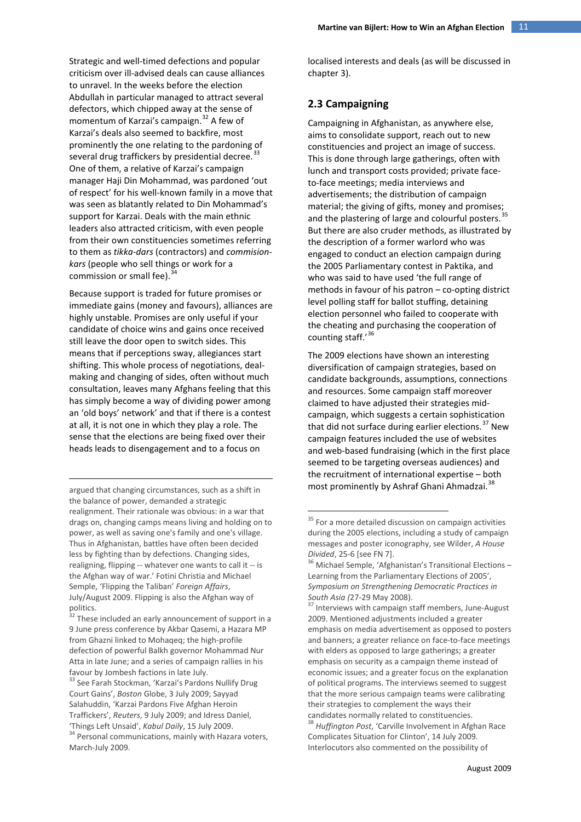Strategic and well-timed defections and popular criticism over ill-advised deals can cause alliances to unravel. In the weeks before the election Abdullah in particular managed to attract several defectors, which chipped away at the sense of momentum of Karzai's campaign. [32](#page-10-0) A few of Karzai's deals also seemed to backfire, most prominently the one relating to the pardoning of several drug traffickers by presidential decree.<sup>[33](#page-10-1)</sup> One of them, a relative of Karzai's campaign manager Haji Din Mohammad, was pardoned 'out of respect' for his well-known family in a move that was seen as blatantly related to Din Mohammad's support for Karzai. Deals with the main ethnic leaders also attracted criticism, with even people from their own constituencies sometimes referring to them as *tikka-dars* (contractors) and *commisionkars* (people who sell things or work for a commission or small fee).<sup>3</sup>

Because support is traded for future promises or immediate gains (money and favours), alliances are highly unstable. Promises are only useful if your candidate of choice wins and gains once received still leave the door open to switch sides. This means that if perceptions sway, allegiances start shifting. This whole process of negotiations, dealmaking and changing of sides, often without much consultation, leaves many Afghans feeling that this has simply become a way of dividing power among an 'old boys' network' and that if there is a contest at all, it is not one in which they play a role. The sense that the elections are being fixed over their heads leads to disengagement and to a focus on

<span id="page-10-3"></span>argued that changing circumstances, such as a shift in the balance of power, demanded a strategic realignment. Their rationale was obvious: in a war that drags on, changing camps means living and holding on to power, as well as saving one's family and one's village. Thus in Afghanistan, battles have often been decided less by fighting than by defections. Changing sides, realigning, flipping -- whatever one wants to call it -- is the Afghan way of war.' Fotini Christia and Michael Semple, 'Flipping the Taliban' *Foreign Affairs*, July/August 2009. Flipping is also the Afghan way of politics.

<u>.</u>

<span id="page-10-5"></span><span id="page-10-4"></span><span id="page-10-0"></span><sup>32</sup> These included an early announcement of support in a 9 June press conference by Akbar Qasemi, a Hazara MP from Ghazni linked to Mohaqeq; the high-profile defection of powerful Balkh governor Mohammad Nur Atta in late June; and a series of campaign rallies in his

<span id="page-10-6"></span><span id="page-10-2"></span><span id="page-10-1"></span>favour by Jombesh factions in late July.<br><sup>33</sup> See Farah Stockman, 'Karzai's Pardons Nullify Drug Court Gains', *Boston* Globe, 3 July 2009; Sayyad Salahuddin, 'Karzai Pardons Five Afghan Heroin Traffickers', *Reuters*, 9 July 2009; and Idress Daniel, 'Things Left Unsaid', *Kabul Daily*, 15 July 2009.<br><sup>34</sup> Personal communications, mainly with Hazara voters, March-July 2009.

localised interests and deals (as will be discussed in chapter 3).

## **2.3 Campaigning**

Campaigning in Afghanistan, as anywhere else, aims to consolidate support, reach out to new constituencies and project an image of success. This is done through large gatherings, often with lunch and transport costs provided; private faceto-face meetings; media interviews and advertisements; the distribution of campaign material; the giving of gifts, money and promises; and the plastering of large and colourful posters.<sup>[35](#page-10-3)</sup> But there are also cruder methods, as illustrated by the description of a former warlord who was engaged to conduct an election campaign during the 2005 Parliamentary contest in Paktika, and who was said to have used 'the full range of methods in favour of his patron – co-opting district level polling staff for ballot stuffing, detaining election personnel who failed to cooperate with the cheating and purchasing the cooperation of counting staff.'<sup>[36](#page-10-4)</sup>

The 2009 elections have shown an interesting diversification of campaign strategies, based on candidate backgrounds, assumptions, connections and resources. Some campaign staff moreover claimed to have adjusted their strategies midcampaign, which suggests a certain sophistication that did not surface during earlier elections. $37$  New campaign features included the use of websites and web-based fundraising (which in the first place seemed to be targeting overseas audiences) and the recruitment of international expertise – both most prominently by Ashraf Ghani Ahmadzai.<sup>[38](#page-10-6)</sup>

<sup>38</sup> *Huffington Post*, 'Carville Involvement in Afghan Race Complicates Situation for Clinton', 14 July 2009. Interlocutors also commented on the possibility of

 $35$  For a more detailed discussion on campaign activities during the 2005 elections, including a study of campaign messages and poster iconography, see Wilder, *A House Divided*, 25-6 [see FN 7].<br><sup>36</sup> Michael Semple, 'Afghanistan's Transitional Elections –

Learning from the Parliamentary Elections of 2005', *Symposium on Strengthening Democratic Practices in* 

Interviews with campaign staff members, June-August 2009. Mentioned adjustments included a greater emphasis on media advertisement as opposed to posters and banners; a greater reliance on face-to-face meetings with elders as opposed to large gatherings; a greater emphasis on security as a campaign theme instead of economic issues; and a greater focus on the explanation of political programs. The interviews seemed to suggest that the more serious campaign teams were calibrating their strategies to complement the ways their candidates normally related to constituencies.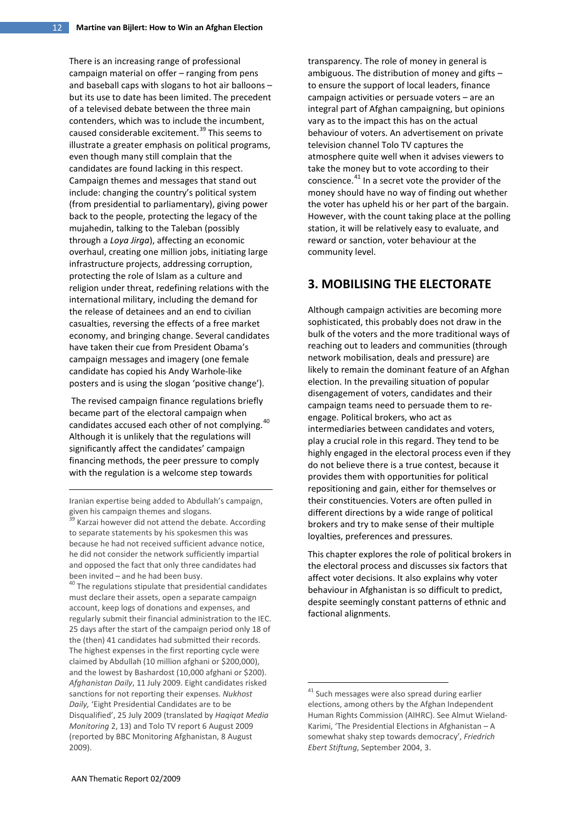There is an increasing range of professional campaign material on offer – ranging from pens and baseball caps with slogans to hot air balloons – but its use to date has been limited. The precedent of a televised debate between the three main contenders, which was to include the incumbent, caused considerable excitement. [39](#page-11-0) This seems to illustrate a greater emphasis on political programs, even though many still complain that the candidates are found lacking in this respect. Campaign themes and messages that stand out include: changing the country's political system (from presidential to parliamentary), giving power back to the people, protecting the legacy of the mujahedin, talking to the Taleban (possibly through a *Loya Jirga*), affecting an economic overhaul, creating one million jobs, initiating large infrastructure projects, addressing corruption, protecting the role of Islam as a culture and religion under threat, redefining relations with the international military, including the demand for the release of detainees and an end to civilian casualties, reversing the effects of a free market economy, and bringing change. Several candidates have taken their cue from President Obama's campaign messages and imagery (one female candidate has copied his Andy Warhole-like posters and is using the slogan 'positive change').

The revised campaign finance regulations briefly became part of the electoral campaign when candidates accused each other of not complying. <sup>[40](#page-11-1)</sup> Although it is unlikely that the regulations will significantly affect the candidates' campaign financing methods, the peer pressure to comply with the regulation is a welcome step towards

Iranian expertise being added to Abdullah's campaign, given his campaign themes and slogans.

-

<span id="page-11-2"></span><span id="page-11-1"></span>must declare their assets, open a separate campaign account, keep logs of donations and expenses, and regularly submit their financial administration to the IEC. 25 days after the start of the campaign period only 18 of the (then) 41 candidates had submitted their records. The highest expenses in the first reporting cycle were claimed by Abdullah (10 million afghani or \$200,000), and the lowest by Bashardost (10,000 afghani or \$200). *Afghanistan Daily*, 11 July 2009. Eight candidates risked sanctions for not reporting their expenses. *Nukhost Daily,* 'Eight Presidential Candidates are to be Disqualified', 25 July 2009 (translated by *Haqiqat Media Monitoring* 2, 13) and Tolo TV report 6 August 2009 (reported by BBC Monitoring Afghanistan, 8 August 2009).

transparency. The role of money in general is ambiguous. The distribution of money and gifts – to ensure the support of local leaders, finance campaign activities or persuade voters – are an integral part of Afghan campaigning, but opinions vary as to the impact this has on the actual behaviour of voters. An advertisement on private television channel Tolo TV captures the atmosphere quite well when it advises viewers to take the money but to vote according to their conscience.<sup>[41](#page-11-2)</sup> In a secret vote the provider of the money should have no way of finding out whether the voter has upheld his or her part of the bargain. However, with the count taking place at the polling station, it will be relatively easy to evaluate, and reward or sanction, voter behaviour at the community level.

# **3. MOBILISING THE ELECTORATE**

Although campaign activities are becoming more sophisticated, this probably does not draw in the bulk of the voters and the more traditional ways of reaching out to leaders and communities (through network mobilisation, deals and pressure) are likely to remain the dominant feature of an Afghan election. In the prevailing situation of popular disengagement of voters, candidates and their campaign teams need to persuade them to reengage. Political brokers, who act as intermediaries between candidates and voters, play a crucial role in this regard. They tend to be highly engaged in the electoral process even if they do not believe there is a true contest, because it provides them with opportunities for political repositioning and gain, either for themselves or their constituencies. Voters are often pulled in different directions by a wide range of political brokers and try to make sense of their multiple loyalties, preferences and pressures.

This chapter explores the role of political brokers in the electoral process and discusses six factors that affect voter decisions. It also explains why voter behaviour in Afghanistan is so difficult to predict, despite seemingly constant patterns of ethnic and factional alignments.

<span id="page-11-0"></span>Karzai however did not attend the debate. According to separate statements by his spokesmen this was because he had not received sufficient advance notice, he did not consider the network sufficiently impartial and opposed the fact that only three candidates had been invited – and he had been busy.<br><sup>40</sup> The regulations stipulate that presidential candidates

<sup>&</sup>lt;sup>41</sup> Such messages were also spread during earlier elections, among others by the Afghan Independent Human Rights Commission (AIHRC). See Almut Wieland-Karimi, 'The Presidential Elections in Afghanistan – A somewhat shaky step towards democracy', *Friedrich Ebert Stiftung*, September 2004, 3.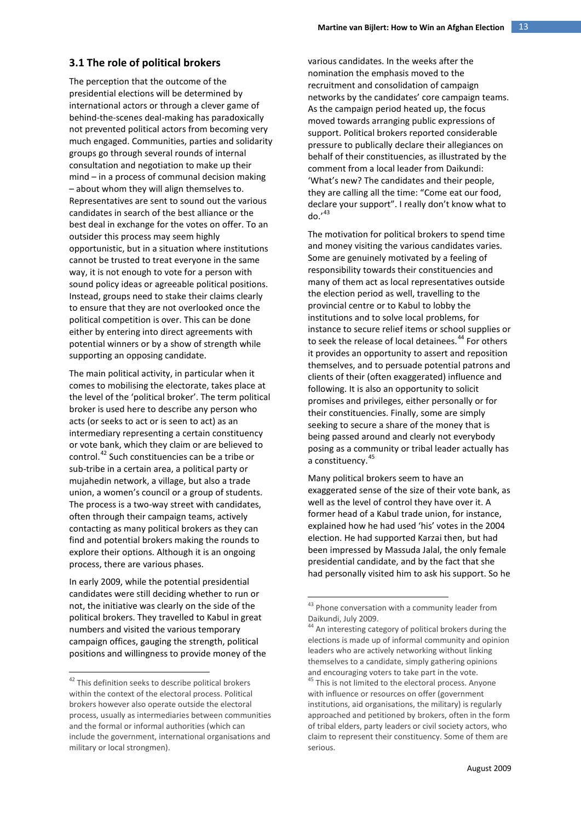#### **3.1 The role of political brokers**

The perception that the outcome of the presidential elections will be determined by international actors or through a clever game of behind-the-scenes deal-making has paradoxically not prevented political actors from becoming very much engaged. Communities, parties and solidarity groups go through several rounds of internal consultation and negotiation to make up their mind – in a process of communal decision making – about whom they will align themselves to. Representatives are sent to sound out the various candidates in search of the best alliance or the best deal in exchange for the votes on offer. To an outsider this process may seem highly opportunistic, but in a situation where institutions cannot be trusted to treat everyone in the same way, it is not enough to vote for a person with sound policy ideas or agreeable political positions. Instead, groups need to stake their claims clearly to ensure that they are not overlooked once the political competition is over. This can be done either by entering into direct agreements with potential winners or by a show of strength while supporting an opposing candidate.

The main political activity, in particular when it comes to mobilising the electorate, takes place at the level of the 'political broker'. The term political broker is used here to describe any person who acts (or seeks to act or is seen to act) as an intermediary representing a certain constituency or vote bank, which they claim or are believed to control.<sup>[42](#page-12-0)</sup> Such constituencies can be a tribe or sub-tribe in a certain area, a political party or mujahedin network, a village, but also a trade union, a women's council or a group of students. The process is a two-way street with candidates, often through their campaign teams, actively contacting as many political brokers as they can find and potential brokers making the rounds to explore their options. Although it is an ongoing process, there are various phases.

<span id="page-12-2"></span><span id="page-12-1"></span>In early 2009, while the potential presidential candidates were still deciding whether to run or not, the initiative was clearly on the side of the political brokers. They travelled to Kabul in great numbers and visited the various temporary campaign offices, gauging the strength, political positions and willingness to provide money of the various candidates. In the weeks after the nomination the emphasis moved to the recruitment and consolidation of campaign networks by the candidates' core campaign teams. As the campaign period heated up, the focus moved towards arranging public expressions of support. Political brokers reported considerable pressure to publically declare their allegiances on behalf of their constituencies, as illustrated by the comment from a local leader from Daikundi: 'What's new? The candidates and their people, they are calling all the time: "Come eat our food, declare your support". I really don't know what to  $do.'^{43}$  $do.'^{43}$  $do.'^{43}$ 

The motivation for political brokers to spend time and money visiting the various candidates varies. Some are genuinely motivated by a feeling of responsibility towards their constituencies and many of them act as local representatives outside the election period as well, travelling to the provincial centre or to Kabul to lobby the institutions and to solve local problems, for instance to secure relief items or school supplies or to seek the release of local detainees.<sup>[44](#page-12-2)</sup> For others it provides an opportunity to assert and reposition themselves, and to persuade potential patrons and clients of their (often exaggerated) influence and following. It is also an opportunity to solicit promises and privileges, either personally or for their constituencies. Finally, some are simply seeking to secure a share of the money that is being passed around and clearly not everybody posing as a community or tribal leader actually has a constituency.<sup>[45](#page-12-0)</sup>

Many political brokers seem to have an exaggerated sense of the size of their vote bank, as well as the level of control they have over it. A former head of a Kabul trade union, for instance, explained how he had used 'his' votes in the 2004 election. He had supported Karzai then, but had been impressed by Massuda Jalal, the only female presidential candidate, and by the fact that she had personally visited him to ask his support. So he

serious.

<span id="page-12-0"></span><sup>&</sup>lt;sup>42</sup> This definition seeks to describe political brokers within the context of the electoral process. Political brokers however also operate outside the electoral process, usually as intermediaries between communities and the formal or informal authorities (which can include the government, international organisations and military or local strongmen).

 $^{43}$  Phone conversation with a community leader from Daikundi, July 2009.

<sup>&</sup>lt;sup>44</sup> An interesting category of political brokers during the elections is made up of informal community and opinion leaders who are actively networking without linking themselves to a candidate, simply gathering opinions and encouraging voters to take part in the vote. <sup>45</sup> This is not limited to the electoral process. Anyone with influence or resources on offer (government institutions, aid organisations, the military) is regularly approached and petitioned by brokers, often in the form of tribal elders, party leaders or civil society actors, who claim to represent their constituency. Some of them are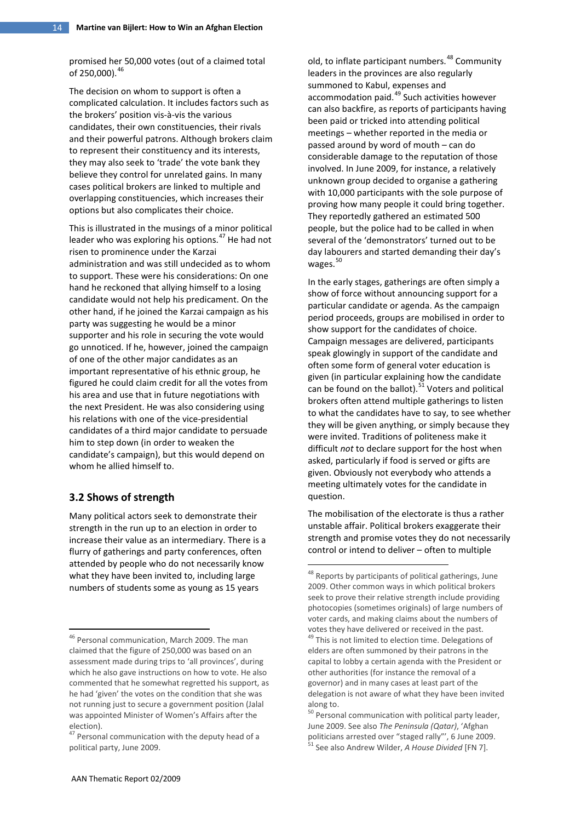promised her 50,000 votes (out of a claimed total of 250,000).<sup>[46](#page-13-0)</sup>

The decision on whom to support is often a complicated calculation. It includes factors such as the brokers' position vis-à-vis the various candidates, their own constituencies, their rivals and their powerful patrons. Although brokers claim to represent their constituency and its interests, they may also seek to 'trade' the vote bank they believe they control for unrelated gains. In many cases political brokers are linked to multiple and overlapping constituencies, which increases their options but also complicates their choice.

This is illustrated in the musings of a minor political leader who was exploring his options.<sup>[47](#page-13-1)</sup> He had not risen to prominence under the Karzai administration and was still undecided as to whom to support. These were his considerations: On one hand he reckoned that allying himself to a losing candidate would not help his predicament. On the other hand, if he joined the Karzai campaign as his party was suggesting he would be a minor supporter and his role in securing the vote would go unnoticed. If he, however, joined the campaign of one of the other major candidates as an important representative of his ethnic group, he figured he could claim credit for all the votes from his area and use that in future negotiations with the next President. He was also considering using his relations with one of the vice-presidential candidates of a third major candidate to persuade him to step down (in order to weaken the candidate's campaign), but this would depend on whom he allied himself to.

#### **3.2 Shows of strength**

<span id="page-13-2"></span>Many political actors seek to demonstrate their strength in the run up to an election in order to increase their value as an intermediary. There is a flurry of gatherings and party conferences, often attended by people who do not necessarily know what they have been invited to, including large numbers of students some as young as 15 years

old, to inflate participant numbers.<sup>[48](#page-13-2)</sup> Community leaders in the provinces are also regularly summoned to Kabul, expenses and accommodation paid.<sup>[49](#page-13-0)</sup> Such activities however can also backfire, as reports of participants having been paid or tricked into attending political meetings – whether reported in the media or passed around by word of mouth – can do considerable damage to the reputation of those involved. In June 2009, for instance, a relatively unknown group decided to organise a gathering with 10,000 participants with the sole purpose of proving how many people it could bring together. They reportedly gathered an estimated 500 people, but the police had to be called in when several of the 'demonstrators' turned out to be day labourers and started demanding their day's wages. $50$ 

In the early stages, gatherings are often simply a show of force without announcing support for a particular candidate or agenda. As the campaign period proceeds, groups are mobilised in order to show support for the candidates of choice. Campaign messages are delivered, participants speak glowingly in support of the candidate and often some form of general voter education is given (in particular explaining how the candidate can be found on the ballot).<sup>[51](#page-13-4)</sup> Voters and political brokers often attend multiple gatherings to listen to what the candidates have to say, to see whether they will be given anything, or simply because they were invited. Traditions of politeness make it difficult *not* to declare support for the host when asked, particularly if food is served or gifts are given. Obviously not everybody who attends a meeting ultimately votes for the candidate in question.

The mobilisation of the electorate is thus a rather unstable affair. Political brokers exaggerate their strength and promise votes they do not necessarily control or intend to deliver – often to multiple

<span id="page-13-0"></span><sup>&</sup>lt;sup>46</sup> Personal communication, March 2009. The man claimed that the figure of 250,000 was based on an assessment made during trips to 'all provinces', during which he also gave instructions on how to vote. He also commented that he somewhat regretted his support, as he had 'given' the votes on the condition that she was not running just to secure a government position (Jalal was appointed Minister of Women's Affairs after the election).

<span id="page-13-4"></span><span id="page-13-3"></span><span id="page-13-1"></span><sup>&</sup>lt;sup>47</sup> Personal communication with the deputy head of a political party, June 2009.

<sup>&</sup>lt;sup>48</sup> Reports by participants of political gatherings, June 2009. Other common ways in which political brokers seek to prove their relative strength include providing photocopies (sometimes originals) of large numbers of voter cards, and making claims about the numbers of votes they have delivered or received in the past. <sup>49</sup> This is not limited to election time. Delegations of elders are often summoned by their patrons in the capital to lobby a certain agenda with the President or other authorities (for instance the removal of a governor) and in many cases at least part of the delegation is not aware of what they have been invited along to.

<sup>&</sup>lt;sup>50</sup> Personal communication with political party leader, June 2009. See also *The Peninsula (Qatar)*, 'Afghan politicians arrested over "staged rally"', 6 June 2009. <sup>51</sup> See also Andrew Wilder, *A House Divided* [FN 7].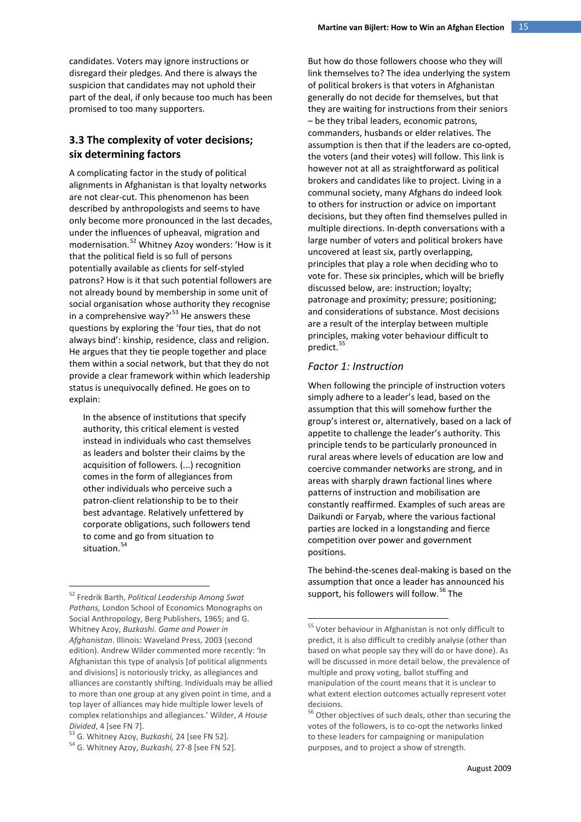candidates. Voters may ignore instructions or disregard their pledges. And there is always the suspicion that candidates may not uphold their part of the deal, if only because too much has been promised to too many supporters.

# **3.3 The complexity of voter decisions; six determining factors**

A complicating factor in the study of political alignments in Afghanistan is that loyalty networks are not clear-cut. This phenomenon has been described by anthropologists and seems to have only become more pronounced in the last decades, under the influences of upheaval, migration and modernisation.[52](#page-14-0) Whitney Azoy wonders: 'How is it that the political field is so full of persons potentially available as clients for self-styled patrons? How is it that such potential followers are not already bound by membership in some unit of social organisation whose authority they recognise in a comprehensive way?'<sup>[53](#page-14-1)</sup> He answers these questions by exploring the 'four ties, that do not always bind': kinship, residence, class and religion. He argues that they tie people together and place them within a social network, but that they do not provide a clear framework within which leadership status is unequivocally defined. He goes on to explain:

In the absence of institutions that specify authority, this critical element is vested instead in individuals who cast themselves as leaders and bolster their claims by the acquisition of followers. (...) recognition comes in the form of allegiances from other individuals who perceive such a patron-client relationship to be to their best advantage. Relatively unfettered by corporate obligations, such followers tend to come and go from situation to situation. [54](#page-14-2)

But how do those followers choose who they will link themselves to? The idea underlying the system of political brokers is that voters in Afghanistan generally do not decide for themselves, but that they are waiting for instructions from their seniors – be they tribal leaders, economic patrons, commanders, husbands or elder relatives. The assumption is then that if the leaders are co-opted, the voters (and their votes) will follow. This link is however not at all as straightforward as political brokers and candidates like to project. Living in a communal society, many Afghans do indeed look to others for instruction or advice on important decisions, but they often find themselves pulled in multiple directions. In-depth conversations with a large number of voters and political brokers have uncovered at least six, partly overlapping, principles that play a role when deciding who to vote for. These six principles, which will be briefly discussed below, are: instruction; loyalty; patronage and proximity; pressure; positioning; and considerations of substance. Most decisions are a result of the interplay between multiple principles, making voter behaviour difficult to predict.<sup>[55](#page-14-3)</sup>

#### *Factor 1: Instruction*

When following the principle of instruction voters simply adhere to a leader's lead, based on the assumption that this will somehow further the group's interest or, alternatively, based on a lack of appetite to challenge the leader's authority. This principle tends to be particularly pronounced in rural areas where levels of education are low and coercive commander networks are strong, and in areas with sharply drawn factional lines where patterns of instruction and mobilisation are constantly reaffirmed. Examples of such areas are Daikundi or Faryab, where the various factional parties are locked in a longstanding and fierce competition over power and government positions.

The behind-the-scenes deal-making is based on the assumption that once a leader has announced his support, his followers will follow.<sup>[56](#page-14-4)</sup> The

<span id="page-14-3"></span><span id="page-14-0"></span><sup>52</sup> Fredrik Barth, *Political Leadership Among Swat Pathans,* London School of Economics Monographs on Social Anthropology, Berg Publishers, 1965; and G. Whitney Azoy, *Buzkashi. Game and Power in Afghanistan*. Illinois: Waveland Press, 2003 (second edition). Andrew Wilder commented more recently: 'In Afghanistan this type of analysis [of political alignments and divisions] is notoriously tricky, as allegiances and alliances are constantly shifting. Individuals may be allied to more than one group at any given point in time, and a top layer of alliances may hide multiple lower levels of complex relationships and allegiances.' Wilder, *A House* 

<span id="page-14-4"></span><span id="page-14-1"></span>*Divided*, 4 [see FN 7]. <sup>53</sup> G. Whitney Azoy, *Buzkashi,* 24 [see FN 52]. <sup>54</sup> G. Whitney Azoy, *Buzkashi,* 27-8 [see FN 52].

<span id="page-14-2"></span>

<sup>&</sup>lt;sup>55</sup> Voter behaviour in Afghanistan is not only difficult to predict, it is also difficult to credibly analyse (other than based on what people say they will do or have done). As will be discussed in more detail below, the prevalence of multiple and proxy voting, ballot stuffing and manipulation of the count means that it is unclear to what extent election outcomes actually represent voter decisions.

<sup>&</sup>lt;sup>56</sup> Other objectives of such deals, other than securing the votes of the followers, is to co-opt the networks linked to these leaders for campaigning or manipulation purposes, and to project a show of strength.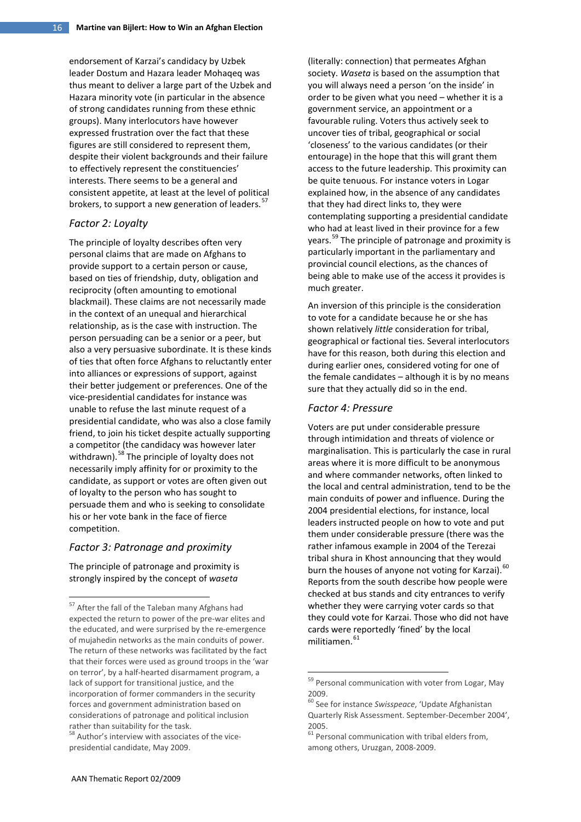endorsement of Karzai's candidacy by Uzbek leader Dostum and Hazara leader Mohaqeq was thus meant to deliver a large part of the Uzbek and Hazara minority vote (in particular in the absence of strong candidates running from these ethnic groups). Many interlocutors have however expressed frustration over the fact that these figures are still considered to represent them, despite their violent backgrounds and their failure to effectively represent the constituencies' interests. There seems to be a general and consistent appetite, at least at the level of political brokers, to support a new generation of leaders.<sup>[57](#page-15-0)</sup>

#### *Factor 2: Loyalty*

The principle of loyalty describes often very personal claims that are made on Afghans to provide support to a certain person or cause, based on ties of friendship, duty, obligation and reciprocity (often amounting to emotional blackmail). These claims are not necessarily made in the context of an unequal and hierarchical relationship, as is the case with instruction. The person persuading can be a senior or a peer, but also a very persuasive subordinate. It is these kinds of ties that often force Afghans to reluctantly enter into alliances or expressions of support, against their better judgement or preferences. One of the vice-presidential candidates for instance was unable to refuse the last minute request of a presidential candidate, who was also a close family friend, to join his ticket despite actually supporting a competitor (the candidacy was however later withdrawn). <sup>[58](#page-15-1)</sup> The principle of loyalty does not necessarily imply affinity for or proximity to the candidate, as support or votes are often given out of loyalty to the person who has sought to persuade them and who is seeking to consolidate his or her vote bank in the face of fierce competition.

#### *Factor 3: Patronage and proximity*

The principle of patronage and proximity is strongly inspired by the concept of *waseta*

(literally: connection) that permeates Afghan society. *Waseta* is based on the assumption that you will always need a person 'on the inside' in order to be given what you need – whether it is a government service, an appointment or a favourable ruling. Voters thus actively seek to uncover ties of tribal, geographical or social 'closeness' to the various candidates (or their entourage) in the hope that this will grant them access to the future leadership. This proximity can be quite tenuous. For instance voters in Logar explained how, in the absence of any candidates that they had direct links to, they were contemplating supporting a presidential candidate who had at least lived in their province for a few years.<sup>[59](#page-15-2)</sup> The principle of patronage and proximity is particularly important in the parliamentary and provincial council elections, as the chances of being able to make use of the access it provides is much greater.

An inversion of this principle is the consideration to vote for a candidate because he or she has shown relatively *little* consideration for tribal, geographical or factional ties. Several interlocutors have for this reason, both during this election and during earlier ones, considered voting for one of the female candidates – although it is by no means sure that they actually did so in the end.

#### *Factor 4: Pressure*

Voters are put under considerable pressure through intimidation and threats of violence or marginalisation. This is particularly the case in rural areas where it is more difficult to be anonymous and where commander networks, often linked to the local and central administration, tend to be the main conduits of power and influence. During the 2004 presidential elections, for instance, local leaders instructed people on how to vote and put them under considerable pressure (there was the rather infamous example in 2004 of the Terezai tribal shura in Khost announcing that they would burn the houses of anyone not voting for Karzai).  $^{60}$  $^{60}$  $^{60}$ Reports from the south describe how people were checked at bus stands and city entrances to verify whether they were carrying voter cards so that they could vote for Karzai. Those who did not have cards were reportedly 'fined' by the local  $m$ ilitiamen.  $61$ 

<span id="page-15-0"></span><sup>&</sup>lt;sup>57</sup> After the fall of the Taleban many Afghans had expected the return to power of the pre-war elites and the educated, and were surprised by the re-emergence of mujahedin networks as the main conduits of power. The return of these networks was facilitated by the fact that their forces were used as ground troops in the 'war on terror', by a half-hearted disarmament program, a lack of support for transitional justice, and the incorporation of former commanders in the security forces and government administration based on considerations of patronage and political inclusion rather than suitability for the task.

<span id="page-15-3"></span><span id="page-15-2"></span><span id="page-15-1"></span> $58$  Author's interview with associates of the vicepresidential candidate, May 2009.

<sup>&</sup>lt;sup>59</sup> Personal communication with voter from Logar, May 2009.

<sup>60</sup> See for instance *Swisspeace*, 'Update Afghanistan Quarterly Risk Assessment. September-December 2004', 2005.

 $61$  Personal communication with tribal elders from, among others, Uruzgan, 2008-2009.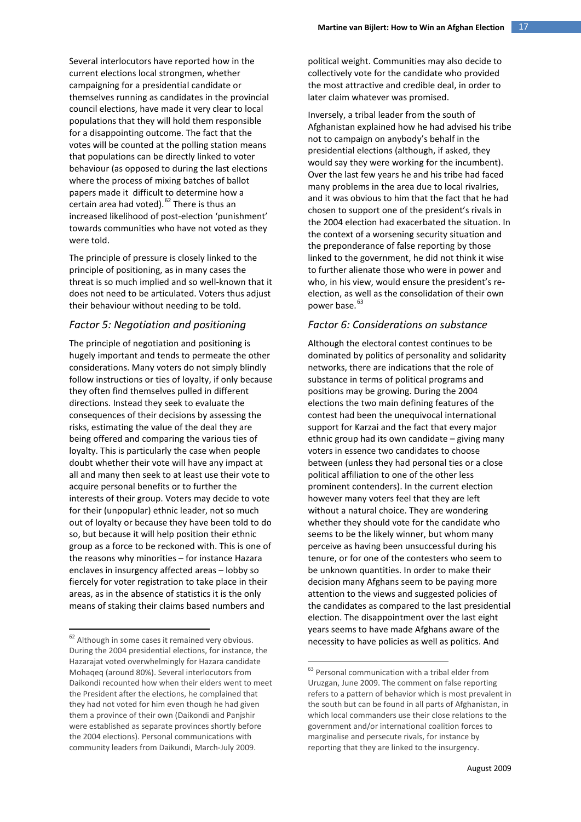Several interlocutors have reported how in the current elections local strongmen, whether campaigning for a presidential candidate or themselves running as candidates in the provincial council elections, have made it very clear to local populations that they will hold them responsible for a disappointing outcome. The fact that the votes will be counted at the polling station means that populations can be directly linked to voter behaviour (as opposed to during the last elections where the process of mixing batches of ballot papers made it difficult to determine how a certain area had voted). <sup>[62](#page-16-0)</sup> There is thus an increased likelihood of post-election 'punishment' towards communities who have not voted as they were told.

The principle of pressure is closely linked to the principle of positioning, as in many cases the threat is so much implied and so well-known that it does not need to be articulated. Voters thus adjust their behaviour without needing to be told.

#### *Factor 5: Negotiation and positioning*

The principle of negotiation and positioning is hugely important and tends to permeate the other considerations. Many voters do not simply blindly follow instructions or ties of loyalty, if only because they often find themselves pulled in different directions. Instead they seek to evaluate the consequences of their decisions by assessing the risks, estimating the value of the deal they are being offered and comparing the various ties of loyalty. This is particularly the case when people doubt whether their vote will have any impact at all and many then seek to at least use their vote to acquire personal benefits or to further the interests of their group. Voters may decide to vote for their (unpopular) ethnic leader, not so much out of loyalty or because they have been told to do so, but because it will help position their ethnic group as a force to be reckoned with. This is one of the reasons why minorities – for instance Hazara enclaves in insurgency affected areas – lobby so fiercely for voter registration to take place in their areas, as in the absence of statistics it is the only means of staking their claims based numbers and

political weight. Communities may also decide to collectively vote for the candidate who provided the most attractive and credible deal, in order to later claim whatever was promised.

Inversely, a tribal leader from the south of Afghanistan explained how he had advised his tribe not to campaign on anybody's behalf in the presidential elections (although, if asked, they would say they were working for the incumbent). Over the last few years he and his tribe had faced many problems in the area due to local rivalries, and it was obvious to him that the fact that he had chosen to support one of the president's rivals in the 2004 election had exacerbated the situation. In the context of a worsening security situation and the preponderance of false reporting by those linked to the government, he did not think it wise to further alienate those who were in power and who, in his view, would ensure the president's reelection, as well as the consolidation of their own power base.<sup>[63](#page-16-1)</sup>

#### *Factor 6: Considerations on substance*

Although the electoral contest continues to be dominated by politics of personality and solidarity networks, there are indications that the role of substance in terms of political programs and positions may be growing. During the 2004 elections the two main defining features of the contest had been the unequivocal international support for Karzai and the fact that every major ethnic group had its own candidate – giving many voters in essence two candidates to choose between (unless they had personal ties or a close political affiliation to one of the other less prominent contenders). In the current election however many voters feel that they are left without a natural choice. They are wondering whether they should vote for the candidate who seems to be the likely winner, but whom many perceive as having been unsuccessful during his tenure, or for one of the contesters who seem to be unknown quantities. In order to make their decision many Afghans seem to be paying more attention to the views and suggested policies of the candidates as compared to the last presidential election. The disappointment over the last eight years seems to have made Afghans aware of the necessity to have policies as well as politics. And

<span id="page-16-1"></span><span id="page-16-0"></span><sup>&</sup>lt;sup>62</sup> Although in some cases it remained very obvious. During the 2004 presidential elections, for instance, the Hazarajat voted overwhelmingly for Hazara candidate Mohaqeq (around 80%). Several interlocutors from Daikondi recounted how when their elders went to meet the President after the elections, he complained that they had not voted for him even though he had given them a province of their own (Daikondi and Panjshir were established as separate provinces shortly before the 2004 elections). Personal communications with community leaders from Daikundi, March-July 2009.

 $63$  Personal communication with a tribal elder from Uruzgan, June 2009. The comment on false reporting refers to a pattern of behavior which is most prevalent in the south but can be found in all parts of Afghanistan, in which local commanders use their close relations to the government and/or international coalition forces to marginalise and persecute rivals, for instance by reporting that they are linked to the insurgency.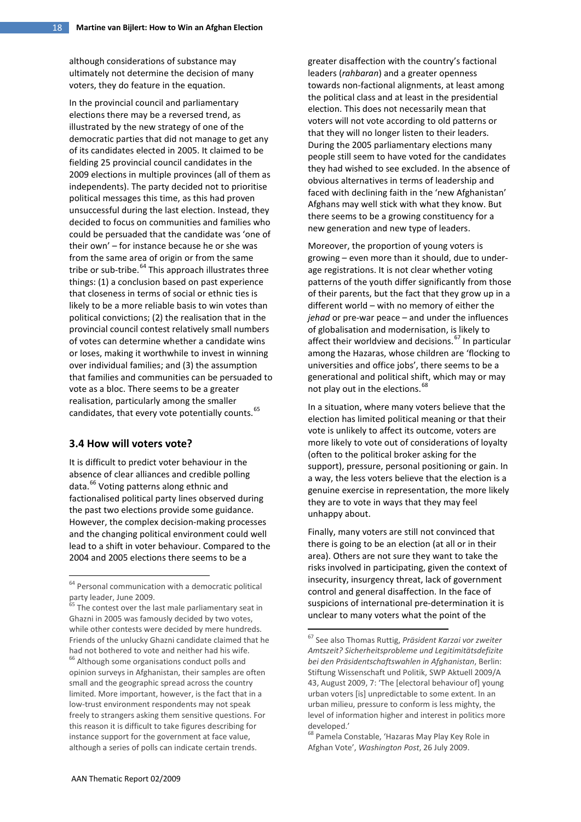although considerations of substance may ultimately not determine the decision of many voters, they do feature in the equation.

In the provincial council and parliamentary elections there may be a reversed trend, as illustrated by the new strategy of one of the democratic parties that did not manage to get any of its candidates elected in 2005. It claimed to be fielding 25 provincial council candidates in the 2009 elections in multiple provinces (all of them as independents). The party decided not to prioritise political messages this time, as this had proven unsuccessful during the last election. Instead, they decided to focus on communities and families who could be persuaded that the candidate was 'one of their own' – for instance because he or she was from the same area of origin or from the same tribe or sub-tribe. [64](#page-17-0) This approach illustrates three things: (1) a conclusion based on past experience that closeness in terms of social or ethnic ties is likely to be a more reliable basis to win votes than political convictions; (2) the realisation that in the provincial council contest relatively small numbers of votes can determine whether a candidate wins or loses, making it worthwhile to invest in winning over individual families; and (3) the assumption that families and communities can be persuaded to vote as a bloc. There seems to be a greater realisation, particularly among the smaller candidates, that every vote potentially counts.<sup>[65](#page-17-1)</sup>

#### **3.4 How will voters vote?**

It is difficult to predict voter behaviour in the absence of clear alliances and credible polling data.<sup>[66](#page-17-2)</sup> Voting patterns along ethnic and factionalised political party lines observed during the past two elections provide some guidance. However, the complex decision-making processes and the changing political environment could well lead to a shift in voter behaviour. Compared to the 2004 and 2005 elections there seems to be a

<span id="page-17-4"></span><span id="page-17-3"></span><span id="page-17-2"></span><span id="page-17-1"></span><sup>65</sup> The contest over the last male parliamentary seat in Ghazni in 2005 was famously decided by two votes, while other contests were decided by mere hundreds. Friends of the unlucky Ghazni candidate claimed that he had not bothered to vote and neither had his wife. <sup>66</sup> Although some organisations conduct polls and opinion surveys in Afghanistan, their samples are often small and the geographic spread across the country limited. More important, however, is the fact that in a low-trust environment respondents may not speak freely to strangers asking them sensitive questions. For this reason it is difficult to take figures describing for instance support for the government at face value, although a series of polls can indicate certain trends.

greater disaffection with the country's factional leaders (*rahbaran*) and a greater openness towards non-factional alignments, at least among the political class and at least in the presidential election. This does not necessarily mean that voters will not vote according to old patterns or that they will no longer listen to their leaders. During the 2005 parliamentary elections many people still seem to have voted for the candidates they had wished to see excluded. In the absence of obvious alternatives in terms of leadership and faced with declining faith in the 'new Afghanistan' Afghans may well stick with what they know. But there seems to be a growing constituency for a new generation and new type of leaders.

Moreover, the proportion of young voters is growing – even more than it should, due to underage registrations. It is not clear whether voting patterns of the youth differ significantly from those of their parents, but the fact that they grow up in a different world – with no memory of either the *jehad* or pre-war peace – and under the influences of globalisation and modernisation, is likely to affect their worldview and decisions.<sup>[67](#page-17-3)</sup> In particular among the Hazaras, whose children are 'flocking to universities and office jobs', there seems to be a generational and political shift, which may or may not play out in the elections.<sup>[68](#page-17-4)</sup>

In a situation, where many voters believe that the election has limited political meaning or that their vote is unlikely to affect its outcome, voters are more likely to vote out of considerations of loyalty (often to the political broker asking for the support), pressure, personal positioning or gain. In a way, the less voters believe that the election is a genuine exercise in representation, the more likely they are to vote in ways that they may feel unhappy about.

Finally, many voters are still not convinced that there is going to be an election (at all or in their area). Others are not sure they want to take the risks involved in participating, given the context of insecurity, insurgency threat, lack of government control and general disaffection. In the face of suspicions of international pre-determination it is unclear to many voters what the point of the

<span id="page-17-0"></span><sup>&</sup>lt;sup>64</sup> Personal communication with a democratic political party leader, June 2009.

<sup>67</sup> See also Thomas Ruttig, *Präsident Karzai vor zweiter Amtszeit? Sicherheitsprobleme und Legitimitätsdefizite bei den Präsidentschaftswahlen in Afghanistan*, Berlin: Stiftung Wissenschaft und Politik, SWP Aktuell 2009/A 43, August 2009, 7: 'The [electoral behaviour of] young urban voters [is] unpredictable to some extent. In an urban milieu, pressure to conform is less mighty, the level of information higher and interest in politics more developed.'<br><sup>68</sup> Pamela Constable, 'Hazaras May Play Key Role in

Afghan Vote', *Washington Post*, 26 July 2009.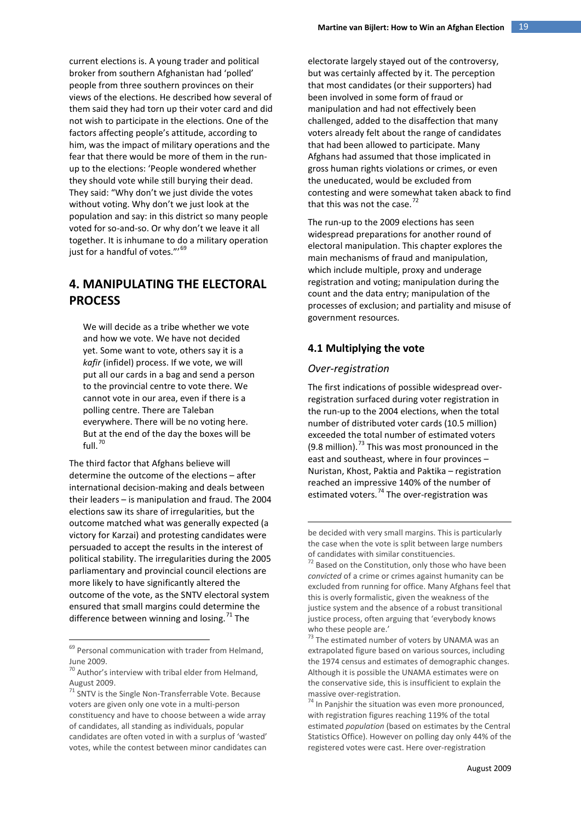current elections is. A young trader and political broker from southern Afghanistan had 'polled' people from three southern provinces on their views of the elections. He described how several of them said they had torn up their voter card and did not wish to participate in the elections. One of the factors affecting people's attitude, according to him, was the impact of military operations and the fear that there would be more of them in the runup to the elections: 'People wondered whether they should vote while still burying their dead. They said: "Why don't we just divide the votes without voting. Why don't we just look at the population and say: in this district so many people voted for so-and-so. Or why don't we leave it all together. It is inhumane to do a military operation just for a handful of votes."'<sup>[69](#page-18-0)</sup>

# **4. MANIPULATING THE ELECTORAL PROCESS**

We will decide as a tribe whether we vote and how we vote. We have not decided yet. Some want to vote, others say it is a *kafir* (infidel) process. If we vote, we will put all our cards in a bag and send a person to the provincial centre to vote there. We cannot vote in our area, even if there is a polling centre. There are Taleban everywhere. There will be no voting here. But at the end of the day the boxes will be full. $70$ 

The third factor that Afghans believe will determine the outcome of the elections – after international decision-making and deals between their leaders – is manipulation and fraud. The 2004 elections saw its share of irregularities, but the outcome matched what was generally expected (a victory for Karzai) and protesting candidates were persuaded to accept the results in the interest of political stability. The irregularities during the 2005 parliamentary and provincial council elections are more likely to have significantly altered the outcome of the vote, as the SNTV electoral system ensured that small margins could determine the difference between winning and losing.<sup>[71](#page-18-2)</sup> The

electorate largely stayed out of the controversy, but was certainly affected by it. The perception that most candidates (or their supporters) had been involved in some form of fraud or manipulation and had not effectively been challenged, added to the disaffection that many voters already felt about the range of candidates that had been allowed to participate. Many Afghans had assumed that those implicated in gross human rights violations or crimes, or even the uneducated, would be excluded from contesting and were somewhat taken aback to find that this was not the case.<sup>[72](#page-18-3)</sup>

The run-up to the 2009 elections has seen widespread preparations for another round of electoral manipulation. This chapter explores the main mechanisms of fraud and manipulation, which include multiple, proxy and underage registration and voting; manipulation during the count and the data entry; manipulation of the processes of exclusion; and partiality and misuse of government resources.

## **4.1 Multiplying the vote**

#### *Over-registration*

<u>.</u>

The first indications of possible widespread overregistration surfaced during voter registration in the run-up to the 2004 elections, when the total number of distributed voter cards (10.5 million) exceeded the total number of estimated voters (9.8 million).<sup>[73](#page-18-4)</sup> This was most pronounced in the east and southeast, where in four provinces – Nuristan, Khost, Paktia and Paktika – registration reached an impressive 140% of the number of estimated voters.<sup>[74](#page-18-5)</sup> The over-registration was

<span id="page-18-4"></span><span id="page-18-3"></span><span id="page-18-0"></span><sup>&</sup>lt;sup>69</sup> Personal communication with trader from Helmand, June 2009.

<span id="page-18-1"></span> $70$  Author's interview with tribal elder from Helmand, August 2009.

<span id="page-18-5"></span><span id="page-18-2"></span><sup>71</sup> SNTV is the Single Non-Transferrable Vote. Because voters are given only one vote in a multi-person constituency and have to choose between a wide array of candidates, all standing as individuals, popular candidates are often voted in with a surplus of 'wasted' votes, while the contest between minor candidates can

be decided with very small margins. This is particularly the case when the vote is split between large numbers of candidates with similar constituencies.

 $72$  Based on the Constitution, only those who have been *convicted* of a crime or crimes against humanity can be excluded from running for office. Many Afghans feel that this is overly formalistic, given the weakness of the justice system and the absence of a robust transitional justice process, often arguing that 'everybody knows who these people are.'  $73$  The estimated number of voters by UNAMA was an

extrapolated figure based on various sources, including the 1974 census and estimates of demographic changes. Although it is possible the UNAMA estimates were on the conservative side, this is insufficient to explain the massive over-registration.<br> $74$  In Panjshir the situation was even more pronounced,

with registration figures reaching 119% of the total estimated *population* (based on estimates by the Central Statistics Office). However on polling day only 44% of the registered votes were cast. Here over-registration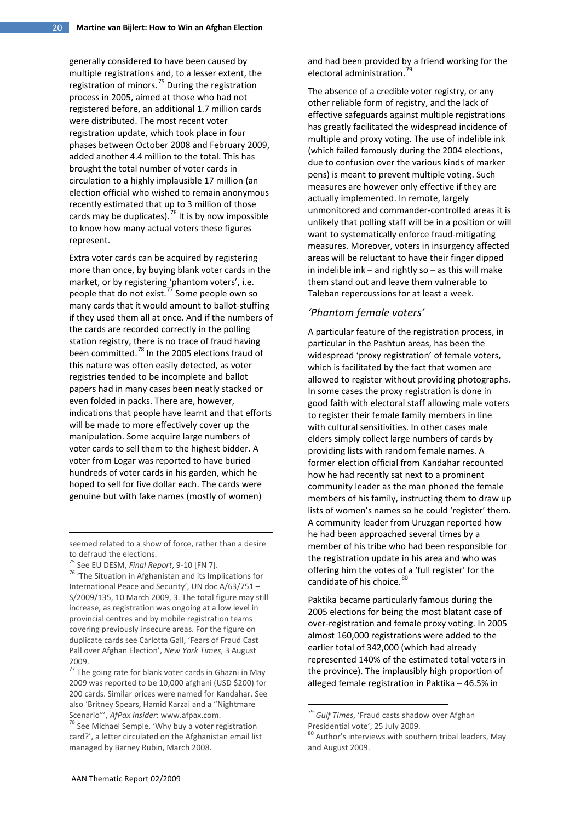generally considered to have been caused by multiple registrations and, to a lesser extent, the registration of minors. $^{75}$  $^{75}$  $^{75}$  During the registration process in 2005, aimed at those who had not registered before, an additional 1.7 million cards were distributed. The most recent voter registration update, which took place in four phases between October 2008 and February 2009, added another 4.4 million to the total. This has brought the total number of voter cards in circulation to a highly implausible 17 million (an election official who wished to remain anonymous recently estimated that up to 3 million of those cards may be duplicates).<sup>[76](#page-19-1)</sup> It is by now impossible to know how many actual voters these figures represent.

Extra voter cards can be acquired by registering more than once, by buying blank voter cards in the market, or by registering 'phantom voters', i.e. people that do not exist.<sup>[77](#page-19-2)</sup> Some people own so many cards that it would amount to ballot-stuffing if they used them all at once. And if the numbers of the cards are recorded correctly in the polling station registry, there is no trace of fraud having been committed.<sup>[78](#page-19-3)</sup> In the 2005 elections fraud of this nature was often easily detected, as voter registries tended to be incomplete and ballot papers had in many cases been neatly stacked or even folded in packs. There are, however, indications that people have learnt and that efforts will be made to more effectively cover up the manipulation. Some acquire large numbers of voter cards to sell them to the highest bidder. A voter from Logar was reported to have buried hundreds of voter cards in his garden, which he hoped to sell for five dollar each. The cards were genuine but with fake names (mostly of women)

-

and had been provided by a friend working for the electoral administration.<sup>[79](#page-19-4)</sup>

The absence of a credible voter registry, or any other reliable form of registry, and the lack of effective safeguards against multiple registrations has greatly facilitated the widespread incidence of multiple and proxy voting. The use of indelible ink (which failed famously during the 2004 elections, due to confusion over the various kinds of marker pens) is meant to prevent multiple voting. Such measures are however only effective if they are actually implemented. In remote, largely unmonitored and commander-controlled areas it is unlikely that polling staff will be in a position or will want to systematically enforce fraud-mitigating measures. Moreover, voters in insurgency affected areas will be reluctant to have their finger dipped in indelible ink – and rightly so – as this will make them stand out and leave them vulnerable to Taleban repercussions for at least a week.

#### *'Phantom female voters'*

A particular feature of the registration process, in particular in the Pashtun areas, has been the widespread 'proxy registration' of female voters, which is facilitated by the fact that women are allowed to register without providing photographs. In some cases the proxy registration is done in good faith with electoral staff allowing male voters to register their female family members in line with cultural sensitivities. In other cases male elders simply collect large numbers of cards by providing lists with random female names. A former election official from Kandahar recounted how he had recently sat next to a prominent community leader as the man phoned the female members of his family, instructing them to draw up lists of women's names so he could 'register' them. A community leader from Uruzgan reported how he had been approached several times by a member of his tribe who had been responsible for the registration update in his area and who was offering him the votes of a 'full register' for the candidate of his choice. [80](#page-19-5)

Paktika became particularly famous during the 2005 elections for being the most blatant case of over-registration and female proxy voting. In 2005 almost 160,000 registrations were added to the earlier total of 342,000 (which had already represented 140% of the estimated total voters in the province). The implausibly high proportion of alleged female registration in Paktika – 46.5% in

seemed related to a show of force, rather than a desire to defraud the elections.

<span id="page-19-1"></span><span id="page-19-0"></span><sup>75</sup> See EU DESM, *Final Report*, 9-10 [FN 7]. 76 'The Situation in Afghanistan and its Implications for International Peace and Security', UN doc A/63/751 – S/2009/135, 10 March 2009, 3. The total figure may still increase, as registration was ongoing at a low level in provincial centres and by mobile registration teams covering previously insecure areas. For the figure on duplicate cards see Carlotta Gall, 'Fears of Fraud Cast Pall over Afghan Election', *New York Times*, 3 August 2009.

<span id="page-19-2"></span> $77$  The going rate for blank voter cards in Ghazni in May 2009 was reported to be 10,000 afghani (USD \$200) for 200 cards. Similar prices were named for Kandahar. See also 'Britney Spears, Hamid Karzai and a "Nightmare Scenario"', *AfPax Insider*: www.afpax.com.<br><sup>78</sup> See Michael Semple, 'Why buy a voter registration

<span id="page-19-5"></span><span id="page-19-4"></span><span id="page-19-3"></span>card?', a letter circulated on the Afghanistan email list managed by Barney Rubin, March 2008.

<sup>79</sup> *Gulf Times*, 'Fraud casts shadow over Afghan Presidential vote', 25 July 2009.

<sup>80</sup> Author's interviews with southern tribal leaders, May and August 2009.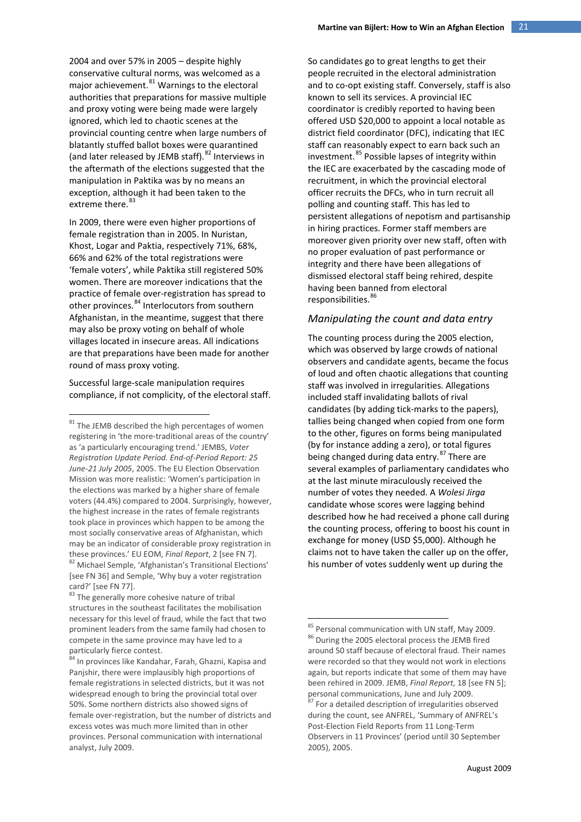2004 and over 57% in 2005 – despite highly conservative cultural norms, was welcomed as a major achievement. $^{81}$  $^{81}$  $^{81}$  Warnings to the electoral authorities that preparations for massive multiple and proxy voting were being made were largely ignored, which led to chaotic scenes at the provincial counting centre when large numbers of blatantly stuffed ballot boxes were quarantined (and later released by JEMB staff).  $82$  Interviews in the aftermath of the elections suggested that the manipulation in Paktika was by no means an exception, although it had been taken to the extreme there.<sup>[83](#page-20-2)</sup>

In 2009, there were even higher proportions of female registration than in 2005. In Nuristan, Khost, Logar and Paktia, respectively 71%, 68%, 66% and 62% of the total registrations were 'female voters', while Paktika still registered 50% women. There are moreover indications that the practice of female over-registration has spread to other provinces.<sup>[84](#page-20-3)</sup> Interlocutors from southern Afghanistan, in the meantime, suggest that there may also be proxy voting on behalf of whole villages located in insecure areas. All indications are that preparations have been made for another round of mass proxy voting.

Successful large-scale manipulation requires compliance, if not complicity, of the electoral staff. So candidates go to great lengths to get their people recruited in the electoral administration and to co-opt existing staff. Conversely, staff is also known to sell its services. A provincial IEC coordinator is credibly reported to having been offered USD \$20,000 to appoint a local notable as district field coordinator (DFC), indicating that IEC staff can reasonably expect to earn back such an investment.<sup>[85](#page-20-4)</sup> Possible lapses of integrity within the IEC are exacerbated by the cascading mode of recruitment, in which the provincial electoral officer recruits the DFCs, who in turn recruit all polling and counting staff. This has led to persistent allegations of nepotism and partisanship in hiring practices. Former staff members are moreover given priority over new staff, often with no proper evaluation of past performance or integrity and there have been allegations of dismissed electoral staff being rehired, despite having been banned from electoral responsibilities. [86](#page-20-5)

## *Manipulating the count and data entry*

The counting process during the 2005 election, which was observed by large crowds of national observers and candidate agents, became the focus of loud and often chaotic allegations that counting staff was involved in irregularities. Allegations included staff invalidating ballots of rival candidates (by adding tick-marks to the papers), tallies being changed when copied from one form to the other, figures on forms being manipulated (by for instance adding a zero), or total figures being changed during data entry.<sup>[87](#page-20-6)</sup> There are several examples of parliamentary candidates who at the last minute miraculously received the number of votes they needed. A *Wolesi Jirga* candidate whose scores were lagging behind described how he had received a phone call during the counting process, offering to boost his count in exchange for money (USD \$5,000). Although he claims not to have taken the caller up on the offer, his number of votes suddenly went up during the

<span id="page-20-0"></span> $81$  The JEMB described the high percentages of women registering in 'the more-traditional areas of the country' as 'a particularly encouraging trend.' JEMBS, *Voter Registration Update Period. End-of-Period Report: 25 June-21 July 2005*, 2005. The EU Election Observation Mission was more realistic: 'Women's participation in the elections was marked by a higher share of female voters (44.4%) compared to 2004. Surprisingly, however, the highest increase in the rates of female registrants took place in provinces which happen to be among the most socially conservative areas of Afghanistan, which may be an indicator of considerable proxy registration in these provinces.' EU EOM, *Final Report*, 2 [see FN 7]. <sup>82</sup> Michael Semple, 'Afghanistan's Transitional Elections' [see FN 36] and Semple, 'Why buy a voter registration

<span id="page-20-2"></span><span id="page-20-1"></span>card?' [see FN 77].<br> $83$  The generally more cohesive nature of tribal structures in the southeast facilitates the mobilisation

<span id="page-20-4"></span>necessary for this level of fraud, while the fact that two prominent leaders from the same family had chosen to compete in the same province may have led to a particularly fierce contest.

<span id="page-20-6"></span><span id="page-20-5"></span><span id="page-20-3"></span><sup>&</sup>lt;sup>84</sup> In provinces like Kandahar, Farah, Ghazni, Kapisa and Panjshir, there were implausibly high proportions of female registrations in selected districts, but it was not widespread enough to bring the provincial total over 50%. Some northern districts also showed signs of female over-registration, but the number of districts and excess votes was much more limited than in other provinces. Personal communication with international analyst, July 2009.

<sup>85</sup> Personal communication with UN staff, May 2009. 86 During the 2005 electoral process the JEMB fired around 50 staff because of electoral fraud. Their names were recorded so that they would not work in elections again, but reports indicate that some of them may have been rehired in 2009. JEMB, *Final Report*, 18 [see FN 5]; personal communications, June and July 2009.<br><sup>87</sup> For a detailed description of irregularities observed

during the count, see ANFREL, 'Summary of ANFREL's Post-Election Field Reports from 11 Long-Term Observers in 11 Provinces' (period until 30 September 2005), 2005.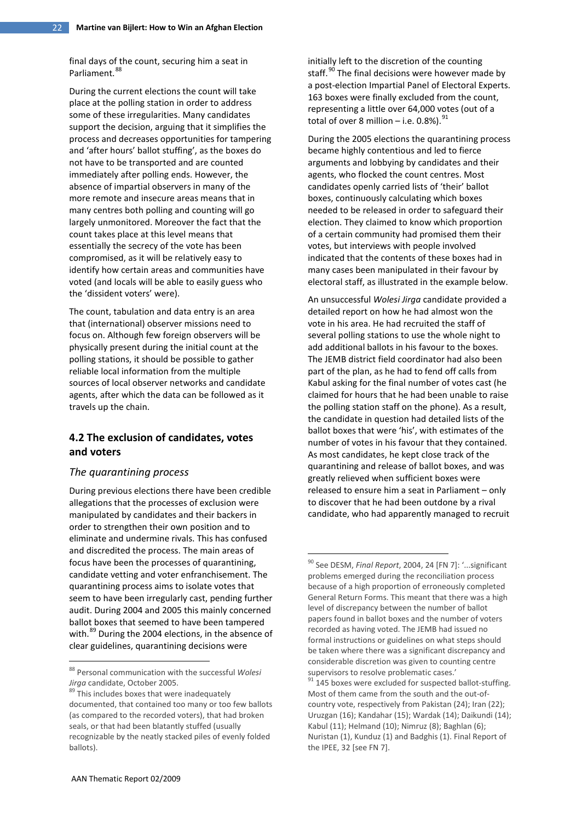final days of the count, securing him a seat in Parliament.<sup>[88](#page-21-0)</sup>

During the current elections the count will take place at the polling station in order to address some of these irregularities. Many candidates support the decision, arguing that it simplifies the process and decreases opportunities for tampering and 'after hours' ballot stuffing', as the boxes do not have to be transported and are counted immediately after polling ends. However, the absence of impartial observers in many of the more remote and insecure areas means that in many centres both polling and counting will go largely unmonitored. Moreover the fact that the count takes place at this level means that essentially the secrecy of the vote has been compromised, as it will be relatively easy to identify how certain areas and communities have voted (and locals will be able to easily guess who the 'dissident voters' were).

The count, tabulation and data entry is an area that (international) observer missions need to focus on. Although few foreign observers will be physically present during the initial count at the polling stations, it should be possible to gather reliable local information from the multiple sources of local observer networks and candidate agents, after which the data can be followed as it travels up the chain.

## **4.2 The exclusion of candidates, votes and voters**

#### *The quarantining process*

<span id="page-21-2"></span>During previous elections there have been credible allegations that the processes of exclusion were manipulated by candidates and their backers in order to strengthen their own position and to eliminate and undermine rivals. This has confused and discredited the process. The main areas of focus have been the processes of quarantining, candidate vetting and voter enfranchisement. The quarantining process aims to isolate votes that seem to have been irregularly cast, pending further audit. During 2004 and 2005 this mainly concerned ballot boxes that seemed to have been tampered with.<sup>[89](#page-21-1)</sup> During the 2004 elections, in the absence of clear guidelines, quarantining decisions were

initially left to the discretion of the counting staff. $90$  The final decisions were however made by a post-election Impartial Panel of Electoral Experts. 163 boxes were finally excluded from the count, representing a little over 64,000 votes (out of a total of over 8 million – i.e.  $0.8\%$ ). <sup>[91](#page-21-3)</sup>

During the 2005 elections the quarantining process became highly contentious and led to fierce arguments and lobbying by candidates and their agents, who flocked the count centres. Most candidates openly carried lists of 'their' ballot boxes, continuously calculating which boxes needed to be released in order to safeguard their election. They claimed to know which proportion of a certain community had promised them their votes, but interviews with people involved indicated that the contents of these boxes had in many cases been manipulated in their favour by electoral staff, as illustrated in the example below.

An unsuccessful *Wolesi Jirga* candidate provided a detailed report on how he had almost won the vote in his area. He had recruited the staff of several polling stations to use the whole night to add additional ballots in his favour to the boxes. The JEMB district field coordinator had also been part of the plan, as he had to fend off calls from Kabul asking for the final number of votes cast (he claimed for hours that he had been unable to raise the polling station staff on the phone). As a result, the candidate in question had detailed lists of the ballot boxes that were 'his', with estimates of the number of votes in his favour that they contained. As most candidates, he kept close track of the quarantining and release of ballot boxes, and was greatly relieved when sufficient boxes were released to ensure him a seat in Parliament – only to discover that he had been outdone by a rival candidate, who had apparently managed to recruit

<span id="page-21-0"></span><sup>88</sup> Personal communication with the successful *Wolesi Jirga* candidate, October 2005.

<span id="page-21-3"></span><span id="page-21-1"></span><sup>&</sup>lt;sup>89</sup> This includes boxes that were inadequately documented, that contained too many or too few ballots (as compared to the recorded voters), that had broken seals, or that had been blatantly stuffed (usually recognizable by the neatly stacked piles of evenly folded ballots).

<sup>90</sup> See DESM, *Final Report*, 2004, 24 [FN 7]: '...significant problems emerged during the reconciliation process because of a high proportion of erroneously completed General Return Forms. This meant that there was a high level of discrepancy between the number of ballot papers found in ballot boxes and the number of voters recorded as having voted. The JEMB had issued no formal instructions or guidelines on what steps should be taken where there was a significant discrepancy and considerable discretion was given to counting centre

supervisors to resolve problematic cases.'<br> $91$  145 boxes were excluded for suspected ballot-stuffing. Most of them came from the south and the out-ofcountry vote, respectively from Pakistan (24); Iran (22); Uruzgan (16); Kandahar (15); Wardak (14); Daikundi (14); Kabul (11); Helmand (10); Nimruz (8); Baghlan (6); Nuristan (1), Kunduz (1) and Badghis (1). Final Report of the IPEE, 32 [see FN 7].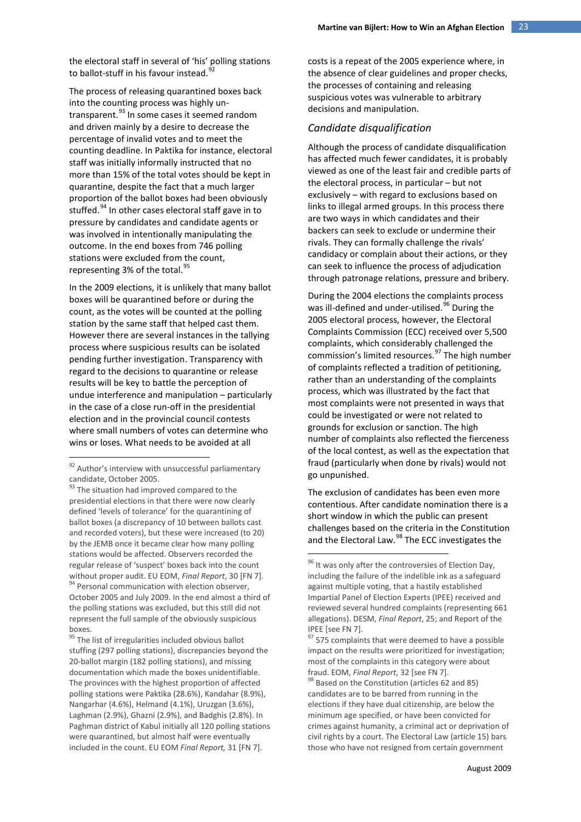the electoral staff in several of 'his' polling stations to ballot-stuff in his favour instead.<sup>[92](#page-22-0)</sup>

The process of releasing quarantined boxes back into the counting process was highly untransparent.[93](#page-22-1) In some cases it seemed random and driven mainly by a desire to decrease the percentage of invalid votes and to meet the counting deadline. In Paktika for instance, electoral staff was initially informally instructed that no more than 15% of the total votes should be kept in quarantine, despite the fact that a much larger proportion of the ballot boxes had been obviously stuffed.<sup>[94](#page-22-2)</sup> In other cases electoral staff gave in to pressure by candidates and candidate agents or was involved in intentionally manipulating the outcome. In the end boxes from 746 polling stations were excluded from the count, representing 3% of the total. $95$ 

In the 2009 elections, it is unlikely that many ballot boxes will be quarantined before or during the count, as the votes will be counted at the polling station by the same staff that helped cast them. However there are several instances in the tallying process where suspicious results can be isolated pending further investigation. Transparency with regard to the decisions to quarantine or release results will be key to battle the perception of undue interference and manipulation – particularly in the case of a close run-off in the presidential election and in the provincial council contests where small numbers of votes can determine who wins or loses. What needs to be avoided at all

costs is a repeat of the 2005 experience where, in the absence of clear guidelines and proper checks, the processes of containing and releasing suspicious votes was vulnerable to arbitrary decisions and manipulation.

#### *Candidate disqualification*

Although the process of candidate disqualification has affected much fewer candidates, it is probably viewed as one of the least fair and credible parts of the electoral process, in particular – but not exclusively – with regard to exclusions based on links to illegal armed groups. In this process there are two ways in which candidates and their backers can seek to exclude or undermine their rivals. They can formally challenge the rivals' candidacy or complain about their actions, or they can seek to influence the process of adjudication through patronage relations, pressure and bribery.

During the 2004 elections the complaints process was ill-defined and under-utilised.<sup>[96](#page-22-4)</sup> During the 2005 electoral process, however, the Electoral Complaints Commission (ECC) received over 5,500 complaints, which considerably challenged the commission's limited resources.<sup>[97](#page-22-3)</sup> The high number of complaints reflected a tradition of petitioning, rather than an understanding of the complaints process, which was illustrated by the fact that most complaints were not presented in ways that could be investigated or were not related to grounds for exclusion or sanction. The high number of complaints also reflected the fierceness of the local contest, as well as the expectation that fraud (particularly when done by rivals) would not go unpunished.

The exclusion of candidates has been even more contentious. After candidate nomination there is a short window in which the public can present challenges based on the criteria in the Constitution and the Electoral Law.<sup>[98](#page-22-5)</sup> The ECC investigates the

<span id="page-22-0"></span><sup>92</sup> Author's interview with unsuccessful parliamentary candidate, October 2005.<br><sup>93</sup> The situation had improved compared to the

<span id="page-22-1"></span>presidential elections in that there were now clearly defined 'levels of tolerance' for the quarantining of ballot boxes (a discrepancy of 10 between ballots cast and recorded voters), but these were increased (to 20) by the JEMB once it became clear how many polling stations would be affected. Observers recorded the regular release of 'suspect' boxes back into the count without proper audit. EU EOM, Final Report, 30 [FN 7]. white property properties properties and Personal communication with election observer, October 2005 and July 2009. In the end almost a third of the polling stations was excluded, but this still did not represent the full sample of the obviously suspicious boxes.

<span id="page-22-5"></span><span id="page-22-4"></span><span id="page-22-3"></span><span id="page-22-2"></span><sup>&</sup>lt;sup>95</sup> The list of irregularities included obvious ballot stuffing (297 polling stations), discrepancies beyond the 20-ballot margin (182 polling stations), and missing documentation which made the boxes unidentifiable. The provinces with the highest proportion of affected polling stations were Paktika (28.6%), Kandahar (8.9%), Nangarhar (4.6%), Helmand (4.1%), Uruzgan (3.6%), Laghman (2.9%), Ghazni (2.9%), and Badghis (2.8%). In Paghman district of Kabul initially all 120 polling stations were quarantined, but almost half were eventually included in the count. EU EOM *Final Report,* 31 [FN 7].

<sup>&</sup>lt;sup>96</sup> It was only after the controversies of Election Day, including the failure of the indelible ink as a safeguard against multiple voting, that a hastily established Impartial Panel of Election Experts (IPEE) received and reviewed several hundred complaints (representing 661 allegations). DESM, *Final Report*, 25; and Report of the IPEE [see FN 7].

<sup>&</sup>lt;sup>97</sup> 575 complaints that were deemed to have a possible impact on the results were prioritized for investigation; most of the complaints in this category were about fraud. EOM, *Final Report*, 32 [see FN 7].<br><sup>98</sup> Based on the Constitution (articles 62 and 85)

candidates are to be barred from running in the elections if they have dual citizenship, are below the minimum age specified, or have been convicted for crimes against humanity, a criminal act or deprivation of civil rights by a court. The Electoral Law (article 15) bars those who have not resigned from certain government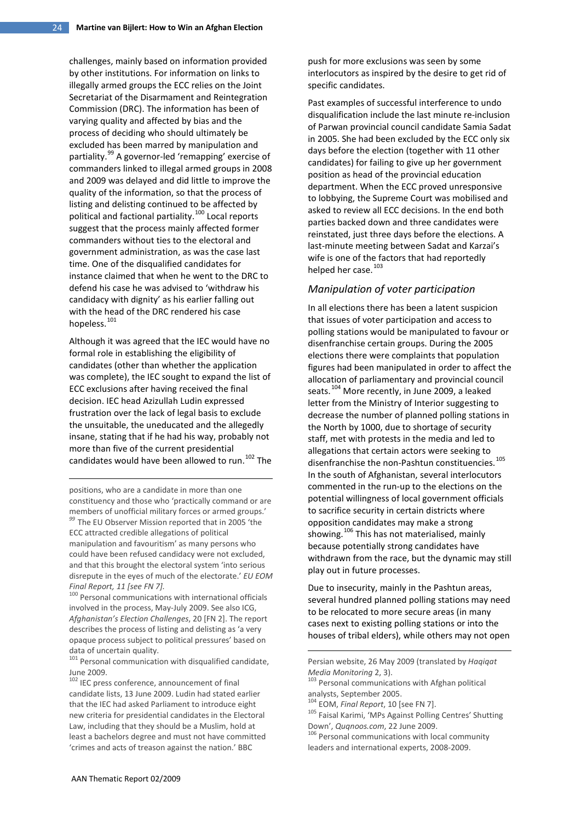challenges, mainly based on information provided by other institutions. For information on links to illegally armed groups the ECC relies on the Joint Secretariat of the Disarmament and Reintegration Commission (DRC). The information has been of varying quality and affected by bias and the process of deciding who should ultimately be excluded has been marred by manipulation and partiality.[99](#page-23-0) A governor-led 'remapping' exercise of commanders linked to illegal armed groups in 2008 and 2009 was delayed and did little to improve the quality of the information, so that the process of listing and delisting continued to be affected by political and factional partiality.<sup>[100](#page-23-1)</sup> Local reports suggest that the process mainly affected former commanders without ties to the electoral and government administration, as was the case last time. One of the disqualified candidates for instance claimed that when he went to the DRC to defend his case he was advised to 'withdraw his candidacy with dignity' as his earlier falling out with the head of the DRC rendered his case hopeless.<sup>[101](#page-23-2)</sup>

Although it was agreed that the IEC would have no formal role in establishing the eligibility of candidates (other than whether the application was complete), the IEC sought to expand the list of ECC exclusions after having received the final decision. IEC head Azizullah Ludin expressed frustration over the lack of legal basis to exclude the unsuitable, the uneducated and the allegedly insane, stating that if he had his way, probably not more than five of the current presidential candidates would have been allowed to run.<sup>[102](#page-23-3)</sup> The

positions, who are a candidate in more than one constituency and those who 'practically command or are members of unofficial military forces or armed groups.' *<sup>99</sup>* The EU Observer Mission reported that in 2005 'the

<u>.</u>

<span id="page-23-0"></span>ECC attracted credible allegations of political manipulation and favouritism' as many persons who could have been refused candidacy were not excluded, and that this brought the electoral system 'into serious disrepute in the eyes of much of the electorate.' *EU EOM Final Report, 11 [see FN 7].* 

<span id="page-23-1"></span><sup>100</sup> Personal communications with international officials involved in the process, May-July 2009. See also ICG, *Afghanistan's Election Challenges*, 20 [FN 2]. The report describes the process of listing and delisting as 'a very opaque process subject to political pressures' based on data of uncertain quality.

<span id="page-23-2"></span> $101$  Personal communication with disqualified candidate, June 2009.

<span id="page-23-6"></span><span id="page-23-5"></span><span id="page-23-4"></span><span id="page-23-3"></span><sup>102</sup> IEC press conference, announcement of final candidate lists, 13 June 2009. Ludin had stated earlier that the IEC had asked Parliament to introduce eight new criteria for presidential candidates in the Electoral Law, including that they should be a Muslim, hold at least a bachelors degree and must not have committed 'crimes and acts of treason against the nation.' BBC

push for more exclusions was seen by some interlocutors as inspired by the desire to get rid of specific candidates.

Past examples of successful interference to undo disqualification include the last minute re-inclusion of Parwan provincial council candidate Samia Sadat in 2005. She had been excluded by the ECC only six days before the election (together with 11 other candidates) for failing to give up her government position as head of the provincial education department. When the ECC proved unresponsive to lobbying, the Supreme Court was mobilised and asked to review all ECC decisions. In the end both parties backed down and three candidates were reinstated, just three days before the elections. A last-minute meeting between Sadat and Karzai's wife is one of the factors that had reportedly helped her case.<sup>[103](#page-23-3)</sup>

#### *Manipulation of voter participation*

In all elections there has been a latent suspicion that issues of voter participation and access to polling stations would be manipulated to favour or disenfranchise certain groups. During the 2005 elections there were complaints that population figures had been manipulated in order to affect the allocation of parliamentary and provincial council seats.<sup>[104](#page-23-4)</sup> More recently, in June 2009, a leaked letter from the Ministry of Interior suggesting to decrease the number of planned polling stations in the North by 1000, due to shortage of security staff, met with protests in the media and led to allegations that certain actors were seeking to disenfranchise the non-Pashtun constituencies. $^{105}$  $^{105}$  $^{105}$ In the south of Afghanistan, several interlocutors commented in the run-up to the elections on the potential willingness of local government officials to sacrifice security in certain districts where opposition candidates may make a strong showing.<sup>[106](#page-23-6)</sup> This has not materialised, mainly because potentially strong candidates have withdrawn from the race, but the dynamic may still play out in future processes.

Due to insecurity, mainly in the Pashtun areas, several hundred planned polling stations may need to be relocated to more secure areas (in many cases next to existing polling stations or into the houses of tribal elders), while others may not open

<u>.</u>

Persian website, 26 May 2009 (translated by *Haqiqat Media Monitoring* 2, 3).<br><sup>103</sup> Personal communications with Afghan political

analysts, September 2005.<br><sup>104</sup> EOM, *Final Report*, 10 [see FN 7].<br><sup>105</sup> Faisal Karimi, 'MPs Against Polling Centres' Shutting Down', *Quqnoos.com*, 22 June 2009.<br><sup>106</sup> Personal communications with local community

leaders and international experts, 2008-2009.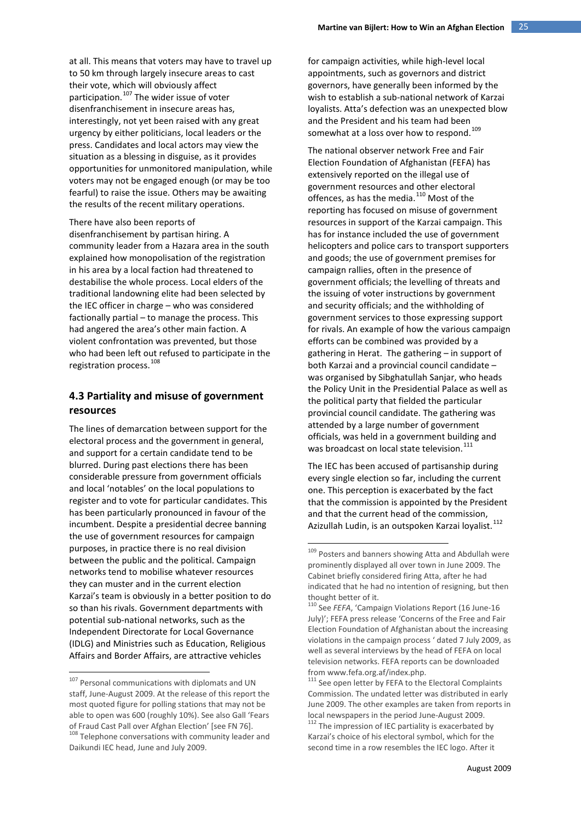at all. This means that voters may have to travel up to 50 km through largely insecure areas to cast their vote, which will obviously affect participation.<sup>[107](#page-24-0)</sup> The wider issue of voter disenfranchisement in insecure areas has, interestingly, not yet been raised with any great urgency by either politicians, local leaders or the press. Candidates and local actors may view the situation as a blessing in disguise, as it provides opportunities for unmonitored manipulation, while voters may not be engaged enough (or may be too fearful) to raise the issue. Others may be awaiting the results of the recent military operations.

#### There have also been reports of

disenfranchisement by partisan hiring. A community leader from a Hazara area in the south explained how monopolisation of the registration in his area by a local faction had threatened to destabilise the whole process. Local elders of the traditional landowning elite had been selected by the IEC officer in charge – who was considered factionally partial – to manage the process. This had angered the area's other main faction. A violent confrontation was prevented, but those who had been left out refused to participate in the registration process.<sup>[108](#page-24-1)</sup>

## **4.3 Partiality and misuse of government resources**

<span id="page-24-2"></span>The lines of demarcation between support for the electoral process and the government in general, and support for a certain candidate tend to be blurred. During past elections there has been considerable pressure from government officials and local 'notables' on the local populations to register and to vote for particular candidates. This has been particularly pronounced in favour of the incumbent. Despite a presidential decree banning the use of government resources for campaign purposes, in practice there is no real division between the public and the political. Campaign networks tend to mobilise whatever resources they can muster and in the current election Karzai's team is obviously in a better position to do so than his rivals. Government departments with potential sub-national networks, such as the Independent Directorate for Local Governance (IDLG) and Ministries such as Education, Religious Affairs and Border Affairs, are attractive vehicles

for campaign activities, while high-level local appointments, such as governors and district governors, have generally been informed by the wish to establish a sub-national network of Karzai loyalists. Atta's defection was an unexpected blow and the President and his team had been somewhat at a loss over how to respond.<sup>[109](#page-24-2)</sup>

The national observer network Free and Fair Election Foundation of Afghanistan (FEFA) has extensively reported on the illegal use of government resources and other electoral offences, as has the media.<sup>[110](#page-24-3)</sup> Most of the reporting has focused on misuse of government resources in support of the Karzai campaign. This has for instance included the use of government helicopters and police cars to transport supporters and goods; the use of government premises for campaign rallies, often in the presence of government officials; the levelling of threats and the issuing of voter instructions by government and security officials; and the withholding of government services to those expressing support for rivals. An example of how the various campaign efforts can be combined was provided by a gathering in Herat. The gathering – in support of both Karzai and a provincial council candidate – was organised by Sibghatullah Sanjar, who heads the Policy Unit in the Presidential Palace as well as the political party that fielded the particular provincial council candidate. The gathering was attended by a large number of government officials, was held in a government building and was broadcast on local state television.<sup>[111](#page-24-0)</sup>

The IEC has been accused of partisanship during every single election so far, including the current one. This perception is exacerbated by the fact that the commission is appointed by the President and that the current head of the commission, Azizullah Ludin, is an outspoken Karzai loyalist.[112](#page-24-4)

<span id="page-24-4"></span><span id="page-24-3"></span><span id="page-24-1"></span><span id="page-24-0"></span><sup>&</sup>lt;sup>107</sup> Personal communications with diplomats and UN staff, June-August 2009. At the release of this report the most quoted figure for polling stations that may not be able to open was 600 (roughly 10%). See also Gall 'Fears of Fraud Cast Pall over Afghan Election' [see FN 76].<br><sup>108</sup> Telephone conversations with community leader and Daikundi IEC head, June and July 2009.

<sup>109</sup> Posters and banners showing Atta and Abdullah were prominently displayed all over town in June 2009. The Cabinet briefly considered firing Atta, after he had indicated that he had no intention of resigning, but then thought better of it.

<sup>110</sup> See *FEFA*, 'Campaign Violations Report (16 June-16 July)'; FEFA press release 'Concerns of the Free and Fair Election Foundation of Afghanistan about the increasing violations in the campaign process ' dated 7 July 2009, as well as several interviews by the head of FEFA on local television networks. FEFA reports can be downloaded fro[m www.fefa.org.af/index.php.](http://www.fefa.org.af/index.php)<br>
<sup>111</sup> See open letter by FEFA to the Electoral Complaints

Commission. The undated letter was distributed in early June 2009. The other examples are taken from reports in local newspapers in the period June-August 2009.<br><sup>112</sup> The impression of IEC partiality is exacerbated by

Karzai's choice of his electoral symbol, which for the second time in a row resembles the IEC logo. After it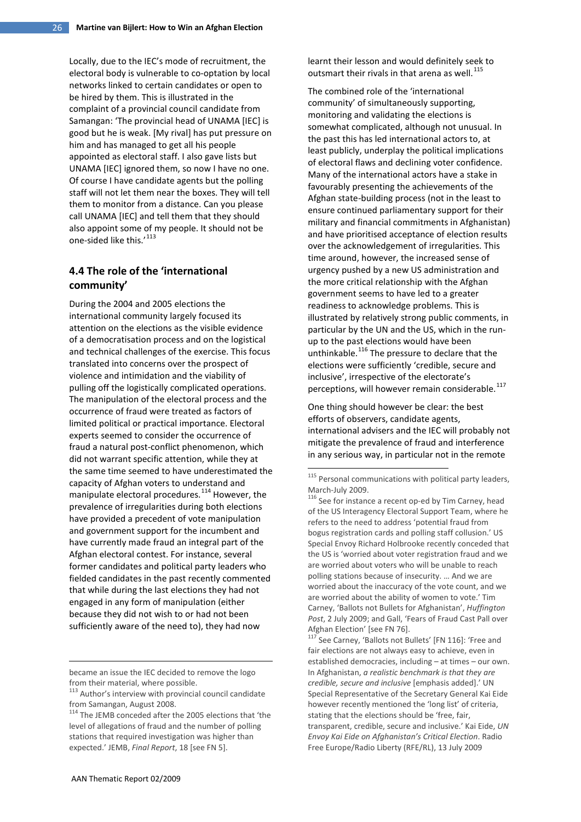Locally, due to the IEC's mode of recruitment, the electoral body is vulnerable to co-optation by local networks linked to certain candidates or open to be hired by them. This is illustrated in the complaint of a provincial council candidate from Samangan: 'The provincial head of UNAMA [IEC] is good but he is weak. [My rival] has put pressure on him and has managed to get all his people appointed as electoral staff. I also gave lists but UNAMA [IEC] ignored them, so now I have no one. Of course I have candidate agents but the polling staff will not let them near the boxes. They will tell them to monitor from a distance. Can you please call UNAMA [IEC] and tell them that they should also appoint some of my people. It should not be one-sided like this.'[113](#page-25-0)

# **4.4 The role of the 'international community'**

<span id="page-25-2"></span>During the 2004 and 2005 elections the international community largely focused its attention on the elections as the visible evidence of a democratisation process and on the logistical and technical challenges of the exercise. This focus translated into concerns over the prospect of violence and intimidation and the viability of pulling off the logistically complicated operations. The manipulation of the electoral process and the occurrence of fraud were treated as factors of limited political or practical importance. Electoral experts seemed to consider the occurrence of fraud a natural post-conflict phenomenon, which did not warrant specific attention, while they at the same time seemed to have underestimated the capacity of Afghan voters to understand and manipulate electoral procedures.<sup>[114](#page-25-1)</sup> However, the prevalence of irregularities during both elections have provided a precedent of vote manipulation and government support for the incumbent and have currently made fraud an integral part of the Afghan electoral contest. For instance, several former candidates and political party leaders who fielded candidates in the past recently commented that while during the last elections they had not engaged in any form of manipulation (either because they did not wish to or had not been sufficiently aware of the need to), they had now

became an issue the IEC decided to remove the logo from their material, where possible.

learnt their lesson and would definitely seek to outsmart their rivals in that arena as well. $^{115}$  $^{115}$  $^{115}$ 

The combined role of the 'international community' of simultaneously supporting, monitoring and validating the elections is somewhat complicated, although not unusual. In the past this has led international actors to, at least publicly, underplay the political implications of electoral flaws and declining voter confidence. Many of the international actors have a stake in favourably presenting the achievements of the Afghan state-building process (not in the least to ensure continued parliamentary support for their military and financial commitments in Afghanistan) and have prioritised acceptance of election results over the acknowledgement of irregularities. This time around, however, the increased sense of urgency pushed by a new US administration and the more critical relationship with the Afghan government seems to have led to a greater readiness to acknowledge problems. This is illustrated by relatively strong public comments, in particular by the UN and the US, which in the runup to the past elections would have been unthinkable.[116](#page-25-3) The pressure to declare that the elections were sufficiently 'credible, secure and inclusive', irrespective of the electorate's perceptions, will however remain considerable.<sup>[117](#page-25-4)</sup>

One thing should however be clear: the best efforts of observers, candidate agents, international advisers and the IEC will probably not mitigate the prevalence of fraud and interference in any serious way, in particular not in the remote

Afghan Election' [see FN 76].<br><sup>117</sup> See Carney, 'Ballots not Bullets' [FN 116]: 'Free and fair elections are not always easy to achieve, even in established democracies, including – at times – our own. In Afghanistan, *a realistic benchmark is that they are credible, secure and inclusive* [emphasis added].' UN Special Representative of the Secretary General Kai Eide however recently mentioned the 'long list' of criteria, stating that the elections should be 'free, fair, transparent, credible, secure and inclusive.' Kai Eide, *UN Envoy Kai Eide on Afghanistan's Critical Election*. Radio Free Europe/Radio Liberty (RFE/RL), 13 July 2009

<span id="page-25-4"></span><span id="page-25-3"></span><u>.</u>

<span id="page-25-0"></span><sup>113</sup> Author's interview with provincial council candidate from Samangan, August 2008.

<span id="page-25-1"></span><sup>&</sup>lt;sup>114</sup> The JEMB conceded after the 2005 elections that 'the level of allegations of fraud and the number of polling stations that required investigation was higher than expected.' JEMB, *Final Report*, 18 [see FN 5].

 $115$  Personal communications with political party leaders, March-July 2009.<br><sup>116</sup> See for instance a recent op-ed by Tim Carney, head

of the US Interagency Electoral Support Team, where he refers to the need to address 'potential fraud from bogus registration cards and polling staff collusion.' US Special Envoy Richard Holbrooke recently conceded that the US is 'worried about voter registration fraud and we are worried about voters who will be unable to reach polling stations because of insecurity. … And we are worried about the inaccuracy of the vote count, and we are worried about the ability of women to vote.' Tim Carney, 'Ballots not Bullets for Afghanistan', *Huffington Post*, 2 July 2009; and Gall, 'Fears of Fraud Cast Pall over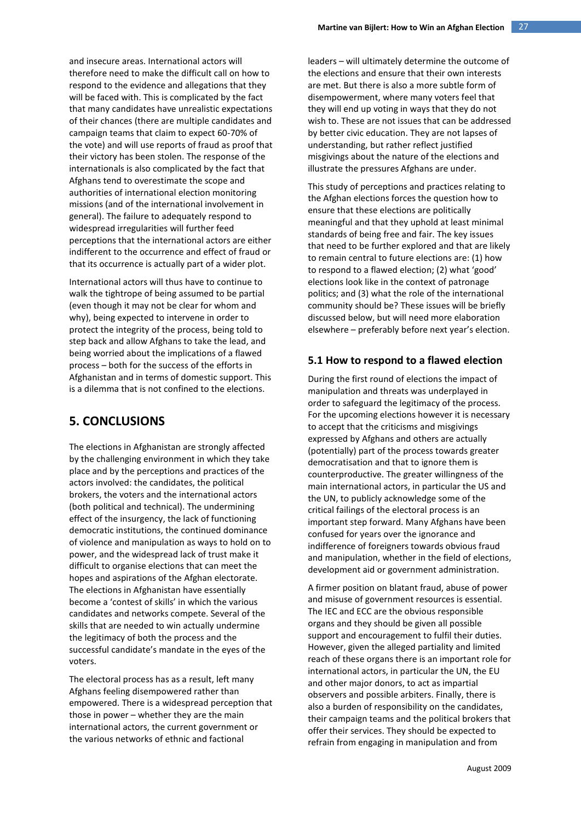and insecure areas. International actors will therefore need to make the difficult call on how to respond to the evidence and allegations that they will be faced with. This is complicated by the fact that many candidates have unrealistic expectations of their chances (there are multiple candidates and campaign teams that claim to expect 60-70% of the vote) and will use reports of fraud as proof that their victory has been stolen. The response of the internationals is also complicated by the fact that Afghans tend to overestimate the scope and authorities of international election monitoring missions (and of the international involvement in general). The failure to adequately respond to widespread irregularities will further feed perceptions that the international actors are either indifferent to the occurrence and effect of fraud or that its occurrence is actually part of a wider plot.

International actors will thus have to continue to walk the tightrope of being assumed to be partial (even though it may not be clear for whom and why), being expected to intervene in order to protect the integrity of the process, being told to step back and allow Afghans to take the lead, and being worried about the implications of a flawed process – both for the success of the efforts in Afghanistan and in terms of domestic support. This is a dilemma that is not confined to the elections.

# **5. CONCLUSIONS**

The elections in Afghanistan are strongly affected by the challenging environment in which they take place and by the perceptions and practices of the actors involved: the candidates, the political brokers, the voters and the international actors (both political and technical). The undermining effect of the insurgency, the lack of functioning democratic institutions, the continued dominance of violence and manipulation as ways to hold on to power, and the widespread lack of trust make it difficult to organise elections that can meet the hopes and aspirations of the Afghan electorate. The elections in Afghanistan have essentially become a 'contest of skills' in which the various candidates and networks compete. Several of the skills that are needed to win actually undermine the legitimacy of both the process and the successful candidate's mandate in the eyes of the voters.

The electoral process has as a result, left many Afghans feeling disempowered rather than empowered. There is a widespread perception that those in power – whether they are the main international actors, the current government or the various networks of ethnic and factional

leaders – will ultimately determine the outcome of the elections and ensure that their own interests are met. But there is also a more subtle form of disempowerment, where many voters feel that they will end up voting in ways that they do not wish to. These are not issues that can be addressed by better civic education. They are not lapses of understanding, but rather reflect justified misgivings about the nature of the elections and illustrate the pressures Afghans are under.

This study of perceptions and practices relating to the Afghan elections forces the question how to ensure that these elections are politically meaningful and that they uphold at least minimal standards of being free and fair. The key issues that need to be further explored and that are likely to remain central to future elections are: (1) how to respond to a flawed election; (2) what 'good' elections look like in the context of patronage politics; and (3) what the role of the international community should be? These issues will be briefly discussed below, but will need more elaboration elsewhere – preferably before next year's election.

## **5.1 How to respond to a flawed election**

During the first round of elections the impact of manipulation and threats was underplayed in order to safeguard the legitimacy of the process. For the upcoming elections however it is necessary to accept that the criticisms and misgivings expressed by Afghans and others are actually (potentially) part of the process towards greater democratisation and that to ignore them is counterproductive. The greater willingness of the main international actors, in particular the US and the UN, to publicly acknowledge some of the critical failings of the electoral process is an important step forward. Many Afghans have been confused for years over the ignorance and indifference of foreigners towards obvious fraud and manipulation, whether in the field of elections, development aid or government administration.

A firmer position on blatant fraud, abuse of power and misuse of government resources is essential. The IEC and ECC are the obvious responsible organs and they should be given all possible support and encouragement to fulfil their duties. However, given the alleged partiality and limited reach of these organs there is an important role for international actors, in particular the UN, the EU and other major donors, to act as impartial observers and possible arbiters. Finally, there is also a burden of responsibility on the candidates, their campaign teams and the political brokers that offer their services. They should be expected to refrain from engaging in manipulation and from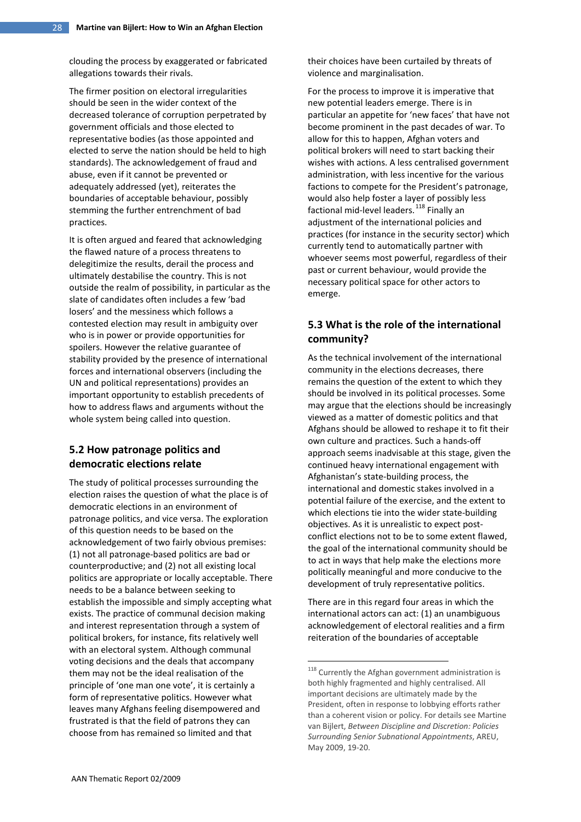clouding the process by exaggerated or fabricated allegations towards their rivals.

The firmer position on electoral irregularities should be seen in the wider context of the decreased tolerance of corruption perpetrated by government officials and those elected to representative bodies (as those appointed and elected to serve the nation should be held to high standards). The acknowledgement of fraud and abuse, even if it cannot be prevented or adequately addressed (yet), reiterates the boundaries of acceptable behaviour, possibly stemming the further entrenchment of bad practices.

It is often argued and feared that acknowledging the flawed nature of a process threatens to delegitimize the results, derail the process and ultimately destabilise the country. This is not outside the realm of possibility, in particular as the slate of candidates often includes a few 'bad losers' and the messiness which follows a contested election may result in ambiguity over who is in power or provide opportunities for spoilers. However the relative guarantee of stability provided by the presence of international forces and international observers (including the UN and political representations) provides an important opportunity to establish precedents of how to address flaws and arguments without the whole system being called into question.

## **5.2 How patronage politics and democratic elections relate**

<span id="page-27-0"></span>The study of political processes surrounding the election raises the question of what the place is of democratic elections in an environment of patronage politics, and vice versa. The exploration of this question needs to be based on the acknowledgement of two fairly obvious premises: (1) not all patronage-based politics are bad or counterproductive; and (2) not all existing local politics are appropriate or locally acceptable. There needs to be a balance between seeking to establish the impossible and simply accepting what exists. The practice of communal decision making and interest representation through a system of political brokers, for instance, fits relatively well with an electoral system. Although communal voting decisions and the deals that accompany them may not be the ideal realisation of the principle of 'one man one vote', it is certainly a form of representative politics. However what leaves many Afghans feeling disempowered and frustrated is that the field of patrons they can choose from has remained so limited and that

their choices have been curtailed by threats of violence and marginalisation.

For the process to improve it is imperative that new potential leaders emerge. There is in particular an appetite for 'new faces' that have not become prominent in the past decades of war. To allow for this to happen, Afghan voters and political brokers will need to start backing their wishes with actions. A less centralised government administration, with less incentive for the various factions to compete for the President's patronage, would also help foster a layer of possibly less factional mid-level leaders.<sup>[118](#page-27-0)</sup> Finally an adjustment of the international policies and practices (for instance in the security sector) which currently tend to automatically partner with whoever seems most powerful, regardless of their past or current behaviour, would provide the necessary political space for other actors to emerge.

# **5.3 What is the role of the international community?**

As the technical involvement of the international community in the elections decreases, there remains the question of the extent to which they should be involved in its political processes. Some may argue that the elections should be increasingly viewed as a matter of domestic politics and that Afghans should be allowed to reshape it to fit their own culture and practices. Such a hands-off approach seems inadvisable at this stage, given the continued heavy international engagement with Afghanistan's state-building process, the international and domestic stakes involved in a potential failure of the exercise, and the extent to which elections tie into the wider state-building objectives. As it is unrealistic to expect postconflict elections not to be to some extent flawed, the goal of the international community should be to act in ways that help make the elections more politically meaningful and more conducive to the development of truly representative politics.

There are in this regard four areas in which the international actors can act: (1) an unambiguous acknowledgement of electoral realities and a firm reiteration of the boundaries of acceptable

<sup>&</sup>lt;sup>118</sup> Currently the Afghan government administration is both highly fragmented and highly centralised. All important decisions are ultimately made by the President, often in response to lobbying efforts rather than a coherent vision or policy. For details see Martine van Bijlert, *Between Discipline and Discretion: Policies Surrounding Senior Subnational Appointments*, AREU, May 2009, 19-20.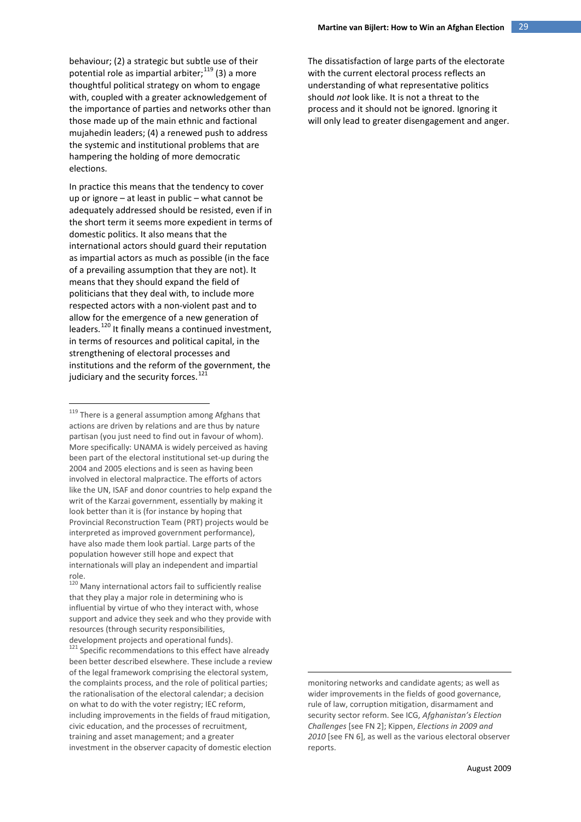behaviour; (2) a strategic but subtle use of their potential role as impartial arbiter;  $^{119}$  $^{119}$  $^{119}$  (3) a more thoughtful political strategy on whom to engage with, coupled with a greater acknowledgement of the importance of parties and networks other than those made up of the main ethnic and factional mujahedin leaders; (4) a renewed push to address the systemic and institutional problems that are hampering the holding of more democratic elections.

In practice this means that the tendency to cover up or ignore – at least in public – what cannot be adequately addressed should be resisted, even if in the short term it seems more expedient in terms of domestic politics. It also means that the international actors should guard their reputation as impartial actors as much as possible (in the face of a prevailing assumption that they are not). It means that they should expand the field of politicians that they deal with, to include more respected actors with a non-violent past and to allow for the emergence of a new generation of leaders.<sup>[120](#page-28-1)</sup> It finally means a continued investment, in terms of resources and political capital, in the strengthening of electoral processes and institutions and the reform of the government, the judiciary and the security forces.<sup>[121](#page-28-2)</sup>

The dissatisfaction of large parts of the electorate with the current electoral process reflects an understanding of what representative politics should *not* look like. It is not a threat to the process and it should not be ignored. Ignoring it will only lead to greater disengagement and anger.

monitoring networks and candidate agents; as well as wider improvements in the fields of good governance, rule of law, corruption mitigation, disarmament and security sector reform. See ICG, *Afghanistan's Election Challenges* [see FN 2]; Kippen, *Elections in 2009 and 2010* [see FN 6], as well as the various electoral observer reports.

<u>.</u>

<span id="page-28-0"></span><sup>&</sup>lt;sup>119</sup> There is a general assumption among Afghans that actions are driven by relations and are thus by nature partisan (you just need to find out in favour of whom). More specifically: UNAMA is widely perceived as having been part of the electoral institutional set-up during the 2004 and 2005 elections and is seen as having been involved in electoral malpractice. The efforts of actors like the UN, ISAF and donor countries to help expand the writ of the Karzai government, essentially by making it look better than it is (for instance by hoping that Provincial Reconstruction Team (PRT) projects would be interpreted as improved government performance), have also made them look partial. Large parts of the population however still hope and expect that internationals will play an independent and impartial role.

<span id="page-28-1"></span><sup>120&</sup>lt;br>Many international actors fail to sufficiently realise that they play a major role in determining who is influential by virtue of who they interact with, whose support and advice they seek and who they provide with resources (through security responsibilities, development projects and operational funds).

<span id="page-28-2"></span><sup>&</sup>lt;sup>121</sup> Specific recommendations to this effect have already been better described elsewhere. These include a review of the legal framework comprising the electoral system, the complaints process, and the role of political parties; the rationalisation of the electoral calendar; a decision on what to do with the voter registry; IEC reform, including improvements in the fields of fraud mitigation, civic education, and the processes of recruitment, training and asset management; and a greater investment in the observer capacity of domestic election